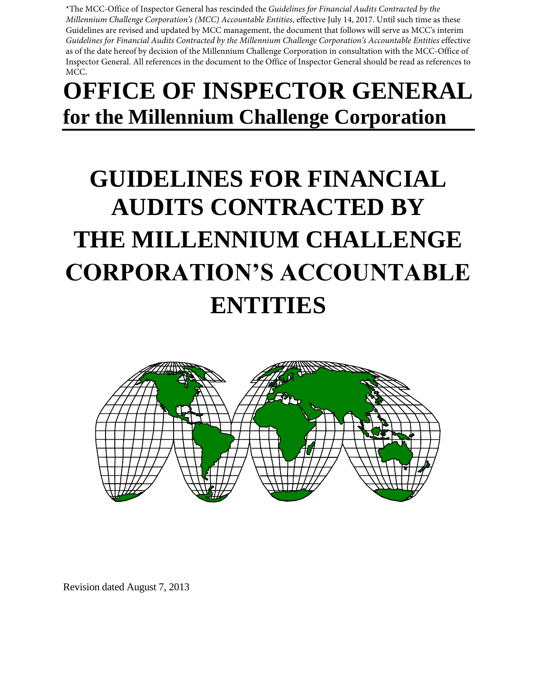\*The MCC-Office of Inspector General has rescinded the *Guidelines for Financial Audits Contracted by the Millennium Challenge Corporation's (MCC) Accountable Entities*, effective July 14, 2017. Until such time as these Guidelines are revised and updated by MCC management, the document that follows will serve as MCC's interim *Guidelines for Financial Audits Contracted by the Millennium Challenge Corporation's Accountable Entities* effective as of the date hereof by decision of the Millennium Challenge Corporation in consultation with the MCC-Office of Inspector General. All references in the document to the Office of Inspector General should be read as references to MCC.

# **OFFICE OF INSPECTOR GENERAL for the Millennium Challenge Corporation**

# **GUIDELINES FOR FINANCIAL AUDITS CONTRACTED BY THE MILLENNIUM CHALLENGE CORPORATION'S ACCOUNTABLE ENTITIES**



Revision dated August 7, 2013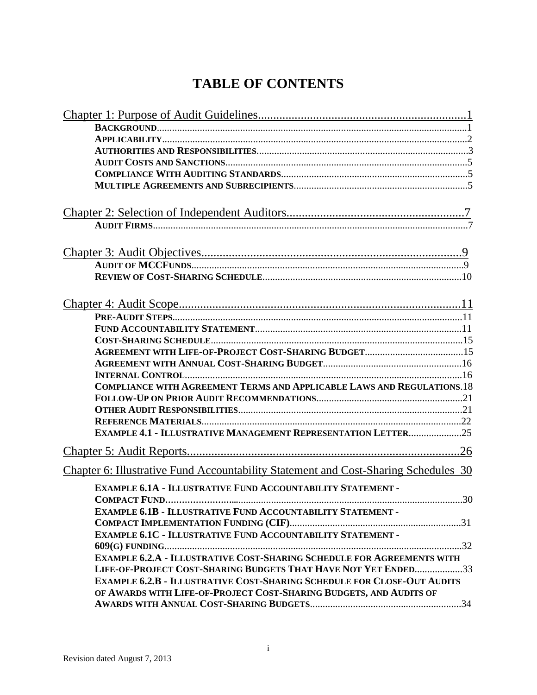# **TABLE OF CONTENTS**

| <b>COMPLIANCE WITH AGREEMENT TERMS AND APPLICABLE LAWS AND REGULATIONS.18</b>       |
|-------------------------------------------------------------------------------------|
|                                                                                     |
|                                                                                     |
|                                                                                     |
| <b>EXAMPLE 4.1 - ILLUSTRATIVE MANAGEMENT REPRESENTATION LETTER25</b>                |
|                                                                                     |
|                                                                                     |
| Chapter 6: Illustrative Fund Accountability Statement and Cost-Sharing Schedules 30 |
| <b>EXAMPLE 6.1A - ILLUSTRATIVE FUND ACCOUNTABILITY STATEMENT -</b>                  |
| 30                                                                                  |
| <b>EXAMPLE 6.1B - ILLUSTRATIVE FUND ACCOUNTABILITY STATEMENT -</b>                  |
|                                                                                     |
| EXAMPLE 6.1C - ILLUSTRATIVE FUND ACCOUNTABILITY STATEMENT -                         |
|                                                                                     |
| <b>EXAMPLE 6.2.A - ILLUSTRATIVE COST-SHARING SCHEDULE FOR AGREEMENTS WITH</b>       |
| LIFE-OF-PROJECT COST-SHARING BUDGETS THAT HAVE NOT YET ENDED33                      |
| <b>EXAMPLE 6.2.B - ILLUSTRATIVE COST-SHARING SCHEDULE FOR CLOSE-OUT AUDITS</b>      |
| OF AWARDS WITH LIFE-OF-PROJECT COST-SHARING BUDGETS, AND AUDITS OF                  |
|                                                                                     |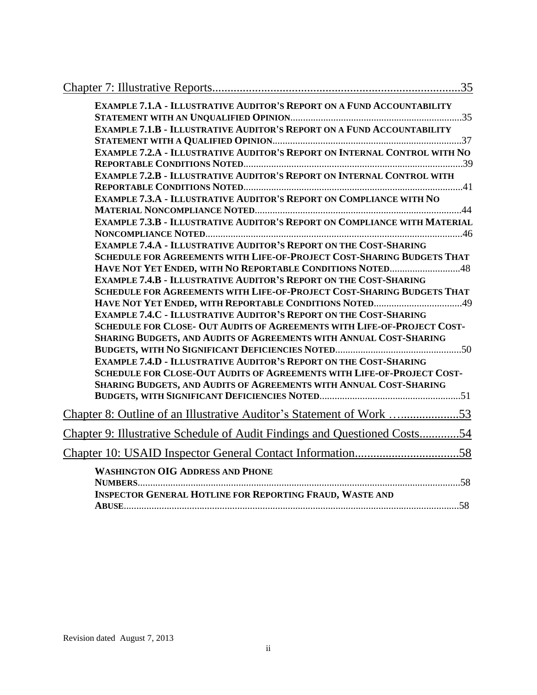| <b>EXAMPLE 7.1.A - ILLUSTRATIVE AUDITOR'S REPORT ON A FUND ACCOUNTABILITY</b>                                                                             |
|-----------------------------------------------------------------------------------------------------------------------------------------------------------|
| <b>EXAMPLE 7.1.B - ILLUSTRATIVE AUDITOR'S REPORT ON A FUND ACCOUNTABILITY</b>                                                                             |
|                                                                                                                                                           |
| <b>EXAMPLE 7.2.A - ILLUSTRATIVE AUDITOR'S REPORT ON INTERNAL CONTROL WITH NO</b>                                                                          |
|                                                                                                                                                           |
| <b>EXAMPLE 7.2.B - ILLUSTRATIVE AUDITOR'S REPORT ON INTERNAL CONTROL WITH</b>                                                                             |
|                                                                                                                                                           |
| <b>EXAMPLE 7.3.A - ILLUSTRATIVE AUDITOR'S REPORT ON COMPLIANCE WITH NO</b>                                                                                |
|                                                                                                                                                           |
| <b>EXAMPLE 7.3.B - ILLUSTRATIVE AUDITOR'S REPORT ON COMPLIANCE WITH MATERIAL</b>                                                                          |
|                                                                                                                                                           |
| <b>EXAMPLE 7.4.A - ILLUSTRATIVE AUDITOR'S REPORT ON THE COST-SHARING</b>                                                                                  |
| <b>SCHEDULE FOR AGREEMENTS WITH LIFE-OF-PROJECT COST-SHARING BUDGETS THAT</b>                                                                             |
| HAVE NOT YET ENDED, WITH NO REPORTABLE CONDITIONS NOTED48                                                                                                 |
| <b>EXAMPLE 7.4.B - ILLUSTRATIVE AUDITOR'S REPORT ON THE COST-SHARING</b>                                                                                  |
| <b>SCHEDULE FOR AGREEMENTS WITH LIFE-OF-PROJECT COST-SHARING BUDGETS THAT</b>                                                                             |
|                                                                                                                                                           |
| <b>EXAMPLE 7.4.C - ILLUSTRATIVE AUDITOR'S REPORT ON THE COST-SHARING</b>                                                                                  |
| <b>SCHEDULE FOR CLOSE- OUT AUDITS OF AGREEMENTS WITH LIFE-OF-PROJECT COST-</b>                                                                            |
| SHARING BUDGETS, AND AUDITS OF AGREEMENTS WITH ANNUAL COST-SHARING                                                                                        |
|                                                                                                                                                           |
| <b>EXAMPLE 7.4.D - ILLUSTRATIVE AUDITOR'S REPORT ON THE COST-SHARING</b><br><b>SCHEDULE FOR CLOSE-OUT AUDITS OF AGREEMENTS WITH LIFE-OF-PROJECT COST-</b> |
| SHARING BUDGETS, AND AUDITS OF AGREEMENTS WITH ANNUAL COST-SHARING                                                                                        |
|                                                                                                                                                           |
|                                                                                                                                                           |
| <u>Chapter 8: Outline of an Illustrative Auditor's Statement of Work</u> 53                                                                               |
| Chapter 9: Illustrative Schedule of Audit Findings and Questioned Costs54                                                                                 |
|                                                                                                                                                           |
| <b>WASHINGTON OIG ADDRESS AND PHONE</b>                                                                                                                   |
|                                                                                                                                                           |
| <b>INSPECTOR GENERAL HOTLINE FOR REPORTING FRAUD, WASTE AND</b>                                                                                           |
|                                                                                                                                                           |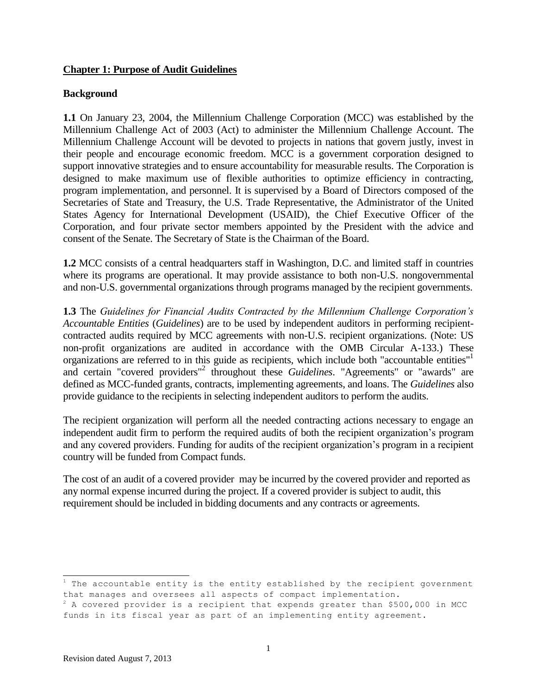#### **Chapter 1: Purpose of Audit Guidelines**

#### **Background**

**1.1** On January 23, 2004, the Millennium Challenge Corporation (MCC) was established by the Millennium Challenge Act of 2003 (Act) to administer the Millennium Challenge Account. The Millennium Challenge Account will be devoted to projects in nations that govern justly, invest in their people and encourage economic freedom. MCC is a government corporation designed to support innovative strategies and to ensure accountability for measurable results. The Corporation is designed to make maximum use of flexible authorities to optimize efficiency in contracting, program implementation, and personnel. It is supervised by a Board of Directors composed of the Secretaries of State and Treasury, the U.S. Trade Representative, the Administrator of the United States Agency for International Development (USAID), the Chief Executive Officer of the Corporation, and four private sector members appointed by the President with the advice and consent of the Senate. The Secretary of State is the Chairman of the Board.

**1.2** MCC consists of a central headquarters staff in Washington, D.C. and limited staff in countries where its programs are operational. It may provide assistance to both non-U.S. nongovernmental and non-U.S. governmental organizations through programs managed by the recipient governments.

**1.3** The *Guidelines for Financial Audits Contracted by the Millennium Challenge Corporation's Accountable Entities* (*Guidelines*) are to be used by independent auditors in performing recipientcontracted audits required by MCC agreements with non-U.S. recipient organizations. (Note: US non-profit organizations are audited in accordance with the OMB Circular A-133.) These organizations are referred to in this guide as recipients, which include both "accountable entities" and certain "covered providers"<sup>2</sup> throughout these *Guidelines*. "Agreements" or "awards" are defined as MCC-funded grants, contracts, implementing agreements, and loans. The *Guidelines* also provide guidance to the recipients in selecting independent auditors to perform the audits.

The recipient organization will perform all the needed contracting actions necessary to engage an independent audit firm to perform the required audits of both the recipient organization's program and any covered providers. Funding for audits of the recipient organization's program in a recipient country will be funded from Compact funds.

The cost of an audit of a covered provider may be incurred by the covered provider and reported as any normal expense incurred during the project. If a covered provider is subject to audit, this requirement should be included in bidding documents and any contracts or agreements.

 $1$  The accountable entity is the entity established by the recipient government that manages and oversees all aspects of compact implementation.

 $2^2$  A covered provider is a recipient that expends greater than \$500,000 in MCC funds in its fiscal year as part of an implementing entity agreement.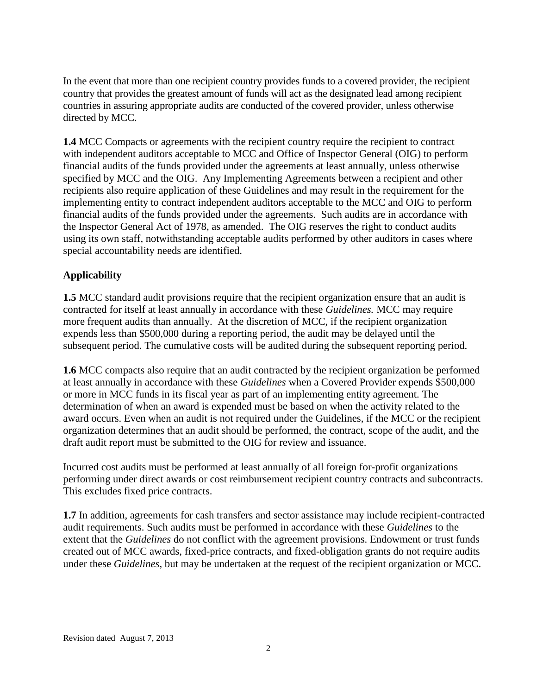In the event that more than one recipient country provides funds to a covered provider, the recipient country that provides the greatest amount of funds will act as the designated lead among recipient countries in assuring appropriate audits are conducted of the covered provider, unless otherwise directed by MCC.

**1.4** MCC Compacts or agreements with the recipient country require the recipient to contract with independent auditors acceptable to MCC and Office of Inspector General (OIG) to perform financial audits of the funds provided under the agreements at least annually, unless otherwise specified by MCC and the OIG. Any Implementing Agreements between a recipient and other recipients also require application of these Guidelines and may result in the requirement for the implementing entity to contract independent auditors acceptable to the MCC and OIG to perform financial audits of the funds provided under the agreements. Such audits are in accordance with the Inspector General Act of 1978, as amended. The OIG reserves the right to conduct audits using its own staff, notwithstanding acceptable audits performed by other auditors in cases where special accountability needs are identified.

# **Applicability**

**1.5** MCC standard audit provisions require that the recipient organization ensure that an audit is contracted for itself at least annually in accordance with these *Guidelines.* MCC may require more frequent audits than annually. At the discretion of MCC, if the recipient organization expends less than \$500,000 during a reporting period, the audit may be delayed until the subsequent period. The cumulative costs will be audited during the subsequent reporting period.

**1.6** MCC compacts also require that an audit contracted by the recipient organization be performed at least annually in accordance with these *Guidelines* when a Covered Provider expends \$500,000 or more in MCC funds in its fiscal year as part of an implementing entity agreement. The determination of when an award is expended must be based on when the activity related to the award occurs. Even when an audit is not required under the Guidelines, if the MCC or the recipient organization determines that an audit should be performed, the contract, scope of the audit, and the draft audit report must be submitted to the OIG for review and issuance.

Incurred cost audits must be performed at least annually of all foreign for-profit organizations performing under direct awards or cost reimbursement recipient country contracts and subcontracts. This excludes fixed price contracts.

**1.7** In addition, agreements for cash transfers and sector assistance may include recipient-contracted audit requirements. Such audits must be performed in accordance with these *Guidelines* to the extent that the *Guidelines* do not conflict with the agreement provisions. Endowment or trust funds created out of MCC awards, fixed-price contracts, and fixed-obligation grants do not require audits under these *Guidelines,* but may be undertaken at the request of the recipient organization or MCC.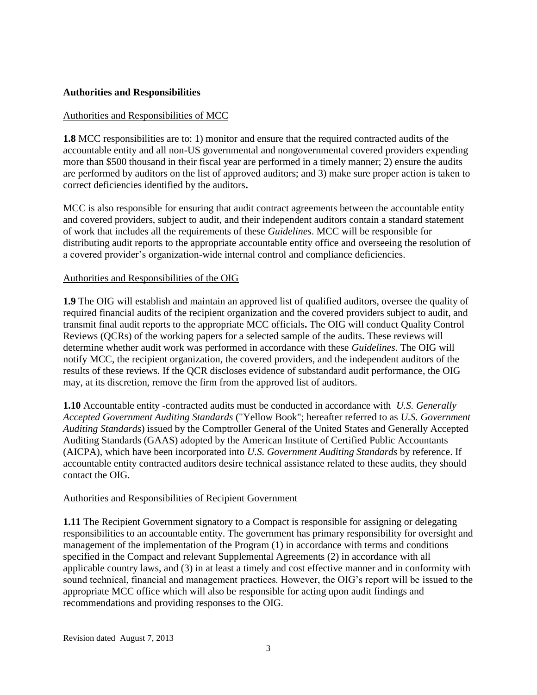#### **Authorities and Responsibilities**

#### Authorities and Responsibilities of MCC

**1.8** MCC responsibilities are to: 1) monitor and ensure that the required contracted audits of the accountable entity and all non-US governmental and nongovernmental covered providers expending more than \$500 thousand in their fiscal year are performed in a timely manner; 2) ensure the audits are performed by auditors on the list of approved auditors; and 3) make sure proper action is taken to correct deficiencies identified by the auditors**.** 

MCC is also responsible for ensuring that audit contract agreements between the accountable entity and covered providers, subject to audit, and their independent auditors contain a standard statement of work that includes all the requirements of these *Guidelines*. MCC will be responsible for distributing audit reports to the appropriate accountable entity office and overseeing the resolution of a covered provider's organization-wide internal control and compliance deficiencies.

#### Authorities and Responsibilities of the OIG

**1.9** The OIG will establish and maintain an approved list of qualified auditors, oversee the quality of required financial audits of the recipient organization and the covered providers subject to audit, and transmit final audit reports to the appropriate MCC officials**.** The OIG will conduct Quality Control Reviews (QCRs) of the working papers for a selected sample of the audits. These reviews will determine whether audit work was performed in accordance with these *Guidelines*. The OIG will notify MCC, the recipient organization, the covered providers, and the independent auditors of the results of these reviews. If the QCR discloses evidence of substandard audit performance, the OIG may, at its discretion, remove the firm from the approved list of auditors.

**1.10** Accountable entity -contracted audits must be conducted in accordance with *U.S. Generally Accepted Government Auditing Standards* ("Yellow Book"; hereafter referred to as *U.S. Government Auditing Standards*) issued by the Comptroller General of the United States and Generally Accepted Auditing Standards (GAAS) adopted by the American Institute of Certified Public Accountants (AICPA), which have been incorporated into *U.S. Government Auditing Standards* by reference. If accountable entity contracted auditors desire technical assistance related to these audits, they should contact the OIG.

#### Authorities and Responsibilities of Recipient Government

**1.11** The Recipient Government signatory to a Compact is responsible for assigning or delegating responsibilities to an accountable entity. The government has primary responsibility for oversight and management of the implementation of the Program (1) in accordance with terms and conditions specified in the Compact and relevant Supplemental Agreements (2) in accordance with all applicable country laws, and (3) in at least a timely and cost effective manner and in conformity with sound technical, financial and management practices. However, the OIG's report will be issued to the appropriate MCC office which will also be responsible for acting upon audit findings and recommendations and providing responses to the OIG.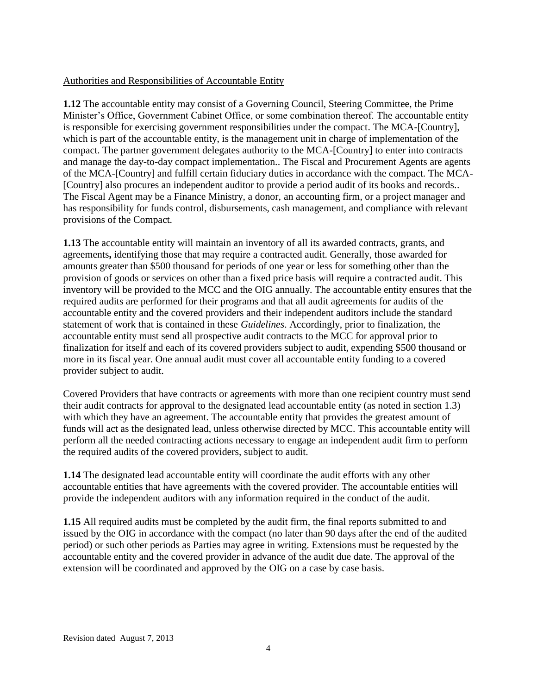#### Authorities and Responsibilities of Accountable Entity

**1.12** The accountable entity may consist of a Governing Council, Steering Committee, the Prime Minister's Office, Government Cabinet Office, or some combination thereof. The accountable entity is responsible for exercising government responsibilities under the compact. The MCA-[Country], which is part of the accountable entity, is the management unit in charge of implementation of the compact. The partner government delegates authority to the MCA-[Country] to enter into contracts and manage the day-to-day compact implementation.. The Fiscal and Procurement Agents are agents of the MCA-[Country] and fulfill certain fiduciary duties in accordance with the compact. The MCA- [Country] also procures an independent auditor to provide a period audit of its books and records.. The Fiscal Agent may be a Finance Ministry, a donor, an accounting firm, or a project manager and has responsibility for funds control, disbursements, cash management, and compliance with relevant provisions of the Compact.

**1.13** The accountable entity will maintain an inventory of all its awarded contracts, grants, and agreements**,** identifying those that may require a contracted audit. Generally, those awarded for amounts greater than \$500 thousand for periods of one year or less for something other than the provision of goods or services on other than a fixed price basis will require a contracted audit. This inventory will be provided to the MCC and the OIG annually. The accountable entity ensures that the required audits are performed for their programs and that all audit agreements for audits of the accountable entity and the covered providers and their independent auditors include the standard statement of work that is contained in these *Guidelines*. Accordingly, prior to finalization, the accountable entity must send all prospective audit contracts to the MCC for approval prior to finalization for itself and each of its covered providers subject to audit, expending \$500 thousand or more in its fiscal year. One annual audit must cover all accountable entity funding to a covered provider subject to audit.

Covered Providers that have contracts or agreements with more than one recipient country must send their audit contracts for approval to the designated lead accountable entity (as noted in section 1.3) with which they have an agreement. The accountable entity that provides the greatest amount of funds will act as the designated lead, unless otherwise directed by MCC. This accountable entity will perform all the needed contracting actions necessary to engage an independent audit firm to perform the required audits of the covered providers, subject to audit.

**1.14** The designated lead accountable entity will coordinate the audit efforts with any other accountable entities that have agreements with the covered provider. The accountable entities will provide the independent auditors with any information required in the conduct of the audit.

**1.15** All required audits must be completed by the audit firm, the final reports submitted to and issued by the OIG in accordance with the compact (no later than 90 days after the end of the audited period) or such other periods as Parties may agree in writing. Extensions must be requested by the accountable entity and the covered provider in advance of the audit due date. The approval of the extension will be coordinated and approved by the OIG on a case by case basis.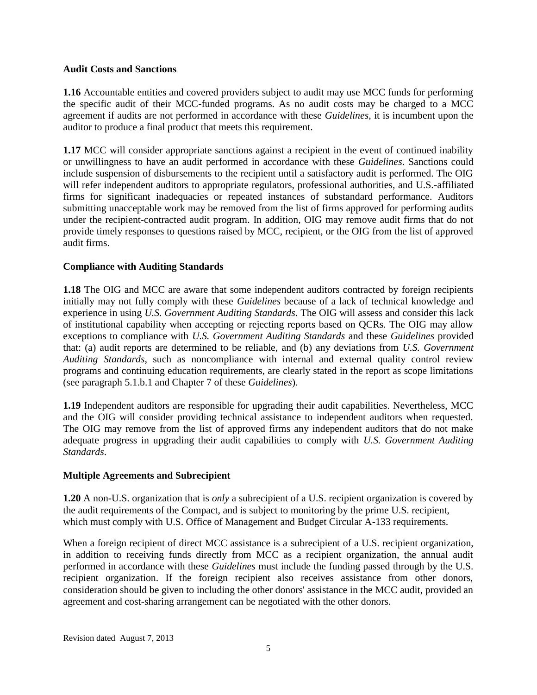#### **Audit Costs and Sanctions**

**1.16** Accountable entities and covered providers subject to audit may use MCC funds for performing the specific audit of their MCC-funded programs. As no audit costs may be charged to a MCC agreement if audits are not performed in accordance with these *Guidelines*, it is incumbent upon the auditor to produce a final product that meets this requirement.

**1.17** MCC will consider appropriate sanctions against a recipient in the event of continued inability or unwillingness to have an audit performed in accordance with these *Guidelines*. Sanctions could include suspension of disbursements to the recipient until a satisfactory audit is performed. The OIG will refer independent auditors to appropriate regulators, professional authorities, and U.S.-affiliated firms for significant inadequacies or repeated instances of substandard performance. Auditors submitting unacceptable work may be removed from the list of firms approved for performing audits under the recipient-contracted audit program. In addition, OIG may remove audit firms that do not provide timely responses to questions raised by MCC, recipient, or the OIG from the list of approved audit firms.

#### **Compliance with Auditing Standards**

**1.18** The OIG and MCC are aware that some independent auditors contracted by foreign recipients initially may not fully comply with these *Guidelines* because of a lack of technical knowledge and experience in using *U.S. Government Auditing Standards*. The OIG will assess and consider this lack of institutional capability when accepting or rejecting reports based on QCRs. The OIG may allow exceptions to compliance with *U.S. Government Auditing Standards* and these *Guidelines* provided that: (a) audit reports are determined to be reliable, and (b) any deviations from *U.S. Government Auditing Standards*, such as noncompliance with internal and external quality control review programs and continuing education requirements, are clearly stated in the report as scope limitations (see paragraph 5.1.b.1 and Chapter 7 of these *Guidelines*).

**1.19** Independent auditors are responsible for upgrading their audit capabilities. Nevertheless, MCC and the OIG will consider providing technical assistance to independent auditors when requested. The OIG may remove from the list of approved firms any independent auditors that do not make adequate progress in upgrading their audit capabilities to comply with *U.S. Government Auditing Standards*.

#### **Multiple Agreements and Subrecipient**

**1.20** A non-U.S. organization that is *only* a subrecipient of a U.S. recipient organization is covered by the audit requirements of the Compact, and is subject to monitoring by the prime U.S. recipient, which must comply with U.S. Office of Management and Budget Circular A-133 requirements.

When a foreign recipient of direct MCC assistance is a subrecipient of a U.S. recipient organization, in addition to receiving funds directly from MCC as a recipient organization, the annual audit performed in accordance with these *Guidelines* must include the funding passed through by the U.S. recipient organization. If the foreign recipient also receives assistance from other donors, consideration should be given to including the other donors' assistance in the MCC audit, provided an agreement and cost-sharing arrangement can be negotiated with the other donors.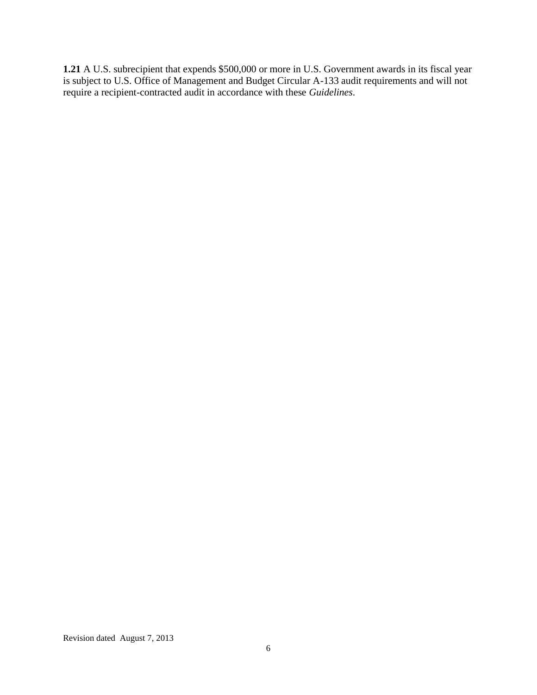**1.21** A U.S. subrecipient that expends \$500,000 or more in U.S. Government awards in its fiscal year is subject to U.S. Office of Management and Budget Circular A-133 audit requirements and will not require a recipient-contracted audit in accordance with these *Guidelines*.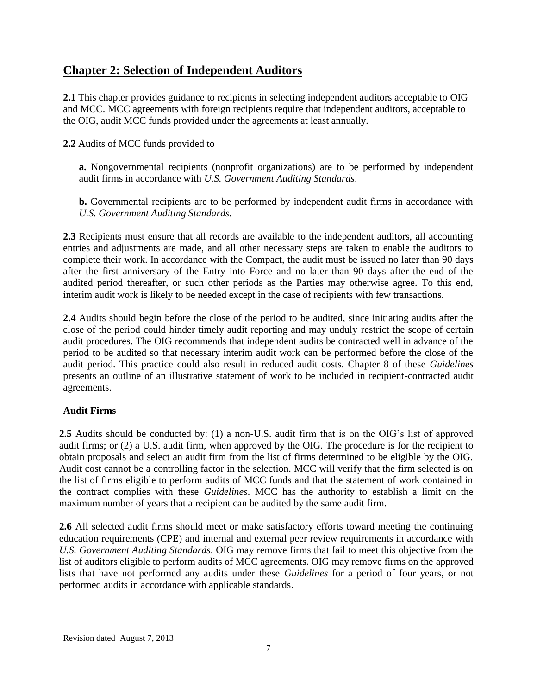# **Chapter 2: Selection of Independent Auditors**

**2.1** This chapter provides guidance to recipients in selecting independent auditors acceptable to OIG and MCC. MCC agreements with foreign recipients require that independent auditors, acceptable to the OIG, audit MCC funds provided under the agreements at least annually.

**2.2** Audits of MCC funds provided to

**a.** Nongovernmental recipients (nonprofit organizations) are to be performed by independent audit firms in accordance with *U.S. Government Auditing Standards*.

**b.** Governmental recipients are to be performed by independent audit firms in accordance with *U.S. Government Auditing Standards.* 

**2.3** Recipients must ensure that all records are available to the independent auditors, all accounting entries and adjustments are made, and all other necessary steps are taken to enable the auditors to complete their work. In accordance with the Compact, the audit must be issued no later than 90 days after the first anniversary of the Entry into Force and no later than 90 days after the end of the audited period thereafter, or such other periods as the Parties may otherwise agree. To this end, interim audit work is likely to be needed except in the case of recipients with few transactions.

**2.4** Audits should begin before the close of the period to be audited, since initiating audits after the close of the period could hinder timely audit reporting and may unduly restrict the scope of certain audit procedures. The OIG recommends that independent audits be contracted well in advance of the period to be audited so that necessary interim audit work can be performed before the close of the audit period. This practice could also result in reduced audit costs. Chapter 8 of these *Guidelines*  presents an outline of an illustrative statement of work to be included in recipient-contracted audit agreements.

#### **Audit Firms**

**2.5** Audits should be conducted by: (1) a non-U.S. audit firm that is on the OIG's list of approved audit firms; or (2) a U.S. audit firm, when approved by the OIG. The procedure is for the recipient to obtain proposals and select an audit firm from the list of firms determined to be eligible by the OIG. Audit cost cannot be a controlling factor in the selection. MCC will verify that the firm selected is on the list of firms eligible to perform audits of MCC funds and that the statement of work contained in the contract complies with these *Guidelines*. MCC has the authority to establish a limit on the maximum number of years that a recipient can be audited by the same audit firm.

**2.6** All selected audit firms should meet or make satisfactory efforts toward meeting the continuing education requirements (CPE) and internal and external peer review requirements in accordance with *U.S. Government Auditing Standards*. OIG may remove firms that fail to meet this objective from the list of auditors eligible to perform audits of MCC agreements. OIG may remove firms on the approved lists that have not performed any audits under these *Guidelines* for a period of four years, or not performed audits in accordance with applicable standards.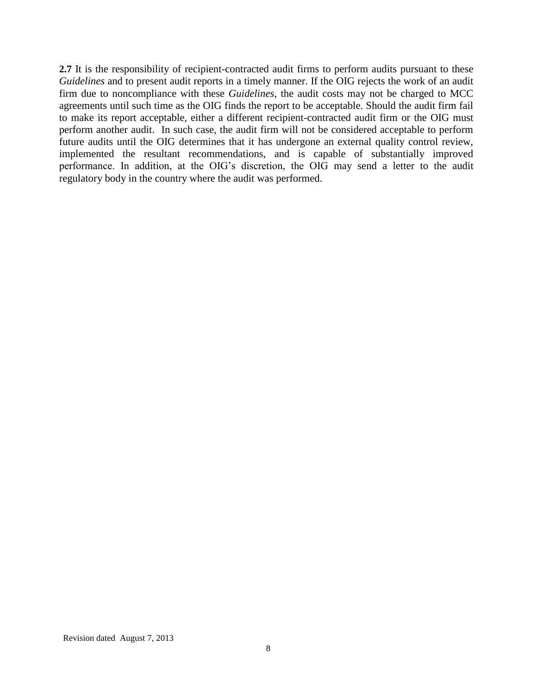**2.7** It is the responsibility of recipient-contracted audit firms to perform audits pursuant to these *Guidelines* and to present audit reports in a timely manner. If the OIG rejects the work of an audit firm due to noncompliance with these *Guidelines*, the audit costs may not be charged to MCC agreements until such time as the OIG finds the report to be acceptable. Should the audit firm fail to make its report acceptable, either a different recipient-contracted audit firm or the OIG must perform another audit. In such case, the audit firm will not be considered acceptable to perform future audits until the OIG determines that it has undergone an external quality control review, implemented the resultant recommendations, and is capable of substantially improved performance. In addition, at the OIG's discretion, the OIG may send a letter to the audit regulatory body in the country where the audit was performed.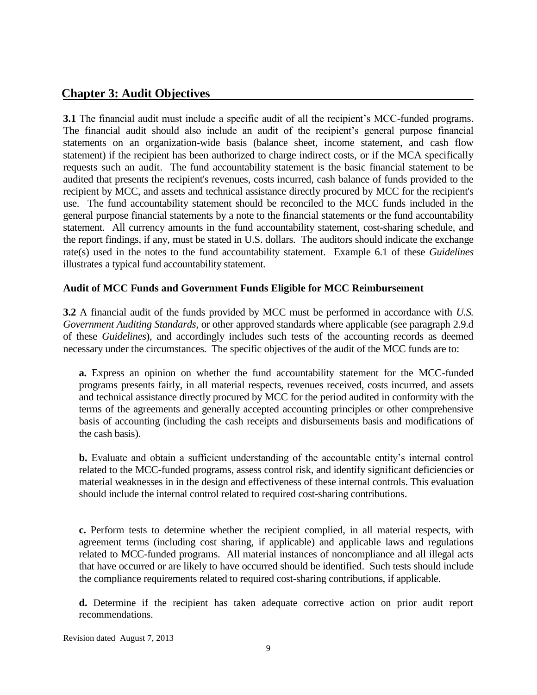# **Chapter 3: Audit Objectives**

**3.1** The financial audit must include a specific audit of all the recipient's MCC-funded programs. The financial audit should also include an audit of the recipient's general purpose financial statements on an organization-wide basis (balance sheet, income statement, and cash flow statement) if the recipient has been authorized to charge indirect costs, or if the MCA specifically requests such an audit. The fund accountability statement is the basic financial statement to be audited that presents the recipient's revenues, costs incurred, cash balance of funds provided to the recipient by MCC, and assets and technical assistance directly procured by MCC for the recipient's use. The fund accountability statement should be reconciled to the MCC funds included in the general purpose financial statements by a note to the financial statements or the fund accountability statement. All currency amounts in the fund accountability statement, cost-sharing schedule, and the report findings, if any, must be stated in U.S. dollars. The auditors should indicate the exchange rate(s) used in the notes to the fund accountability statement. Example 6.1 of these *Guidelines* illustrates a typical fund accountability statement.

#### **Audit of MCC Funds and Government Funds Eligible for MCC Reimbursement**

**3.2** A financial audit of the funds provided by MCC must be performed in accordance with *U.S. Government Auditing Standards*, or other approved standards where applicable (see paragraph 2.9.d of these *Guidelines*), and accordingly includes such tests of the accounting records as deemed necessary under the circumstances. The specific objectives of the audit of the MCC funds are to:

**a.** Express an opinion on whether the fund accountability statement for the MCC-funded programs presents fairly, in all material respects, revenues received, costs incurred, and assets and technical assistance directly procured by MCC for the period audited in conformity with the terms of the agreements and generally accepted accounting principles or other comprehensive basis of accounting (including the cash receipts and disbursements basis and modifications of the cash basis).

**b.** Evaluate and obtain a sufficient understanding of the accountable entity's internal control related to the MCC-funded programs, assess control risk, and identify significant deficiencies or material weaknesses in in the design and effectiveness of these internal controls. This evaluation should include the internal control related to required cost-sharing contributions.

**c.** Perform tests to determine whether the recipient complied, in all material respects, with agreement terms (including cost sharing, if applicable) and applicable laws and regulations related to MCC-funded programs. All material instances of noncompliance and all illegal acts that have occurred or are likely to have occurred should be identified. Such tests should include the compliance requirements related to required cost-sharing contributions, if applicable.

**d.** Determine if the recipient has taken adequate corrective action on prior audit report recommendations.

Revision dated August 7, 2013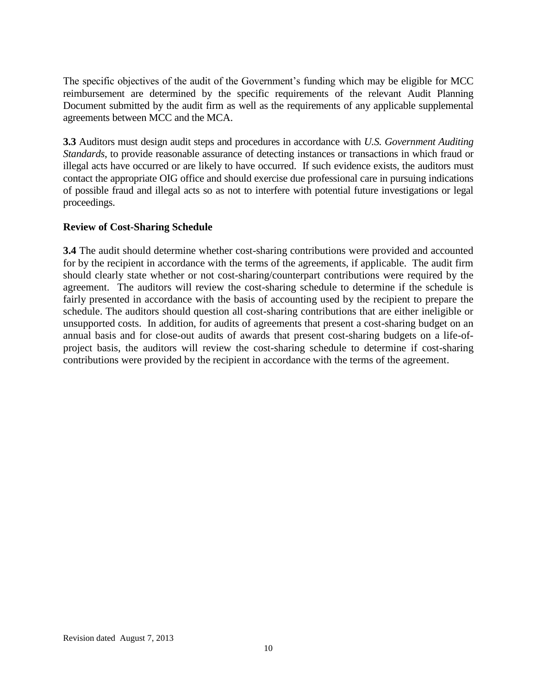The specific objectives of the audit of the Government's funding which may be eligible for MCC reimbursement are determined by the specific requirements of the relevant Audit Planning Document submitted by the audit firm as well as the requirements of any applicable supplemental agreements between MCC and the MCA.

**3.3** Auditors must design audit steps and procedures in accordance with *U.S. Government Auditing Standards*, to provide reasonable assurance of detecting instances or transactions in which fraud or illegal acts have occurred or are likely to have occurred. If such evidence exists, the auditors must contact the appropriate OIG office and should exercise due professional care in pursuing indications of possible fraud and illegal acts so as not to interfere with potential future investigations or legal proceedings.

### **Review of Cost-Sharing Schedule**

**3.4** The audit should determine whether cost-sharing contributions were provided and accounted for by the recipient in accordance with the terms of the agreements, if applicable. The audit firm should clearly state whether or not cost-sharing/counterpart contributions were required by the agreement. The auditors will review the cost-sharing schedule to determine if the schedule is fairly presented in accordance with the basis of accounting used by the recipient to prepare the schedule. The auditors should question all cost-sharing contributions that are either ineligible or unsupported costs. In addition, for audits of agreements that present a cost-sharing budget on an annual basis and for close-out audits of awards that present cost-sharing budgets on a life-ofproject basis, the auditors will review the cost-sharing schedule to determine if cost-sharing contributions were provided by the recipient in accordance with the terms of the agreement.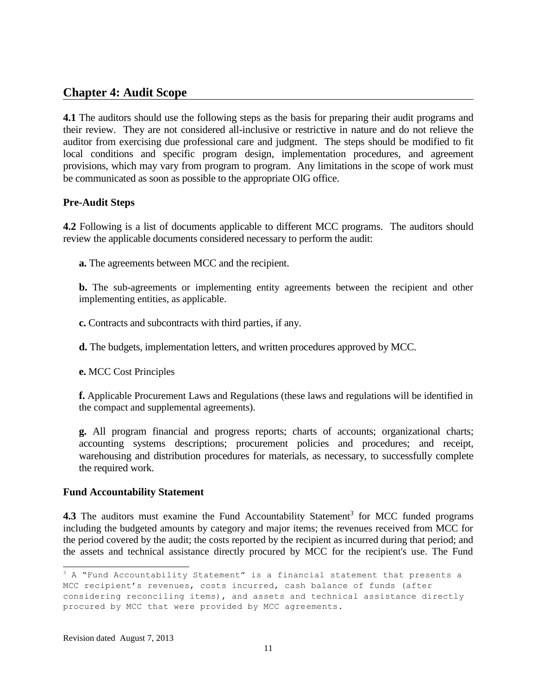# **Chapter 4: Audit Scope**

**4.1** The auditors should use the following steps as the basis for preparing their audit programs and their review. They are not considered all-inclusive or restrictive in nature and do not relieve the auditor from exercising due professional care and judgment. The steps should be modified to fit local conditions and specific program design, implementation procedures, and agreement provisions, which may vary from program to program. Any limitations in the scope of work must be communicated as soon as possible to the appropriate OIG office.

#### **Pre-Audit Steps**

**4.2** Following is a list of documents applicable to different MCC programs. The auditors should review the applicable documents considered necessary to perform the audit:

**a.** The agreements between MCC and the recipient.

**b.** The sub-agreements or implementing entity agreements between the recipient and other implementing entities, as applicable.

**c.** Contracts and subcontracts with third parties, if any.

**d.** The budgets, implementation letters, and written procedures approved by MCC.

**e.** MCC Cost Principles

**f.** Applicable Procurement Laws and Regulations (these laws and regulations will be identified in the compact and supplemental agreements).

**g.** All program financial and progress reports; charts of accounts; organizational charts; accounting systems descriptions; procurement policies and procedures; and receipt, warehousing and distribution procedures for materials, as necessary, to successfully complete the required work.

#### **Fund Accountability Statement**

4.3 The auditors must examine the Fund Accountability Statement<sup>3</sup> for MCC funded programs including the budgeted amounts by category and major items; the revenues received from MCC for the period covered by the audit; the costs reported by the recipient as incurred during that period; and the assets and technical assistance directly procured by MCC for the recipient's use. The Fund

 $3$  A "Fund Accountability Statement" is a financial statement that presents a MCC recipient's revenues, costs incurred, cash balance of funds (after considering reconciling items), and assets and technical assistance directly procured by MCC that were provided by MCC agreements.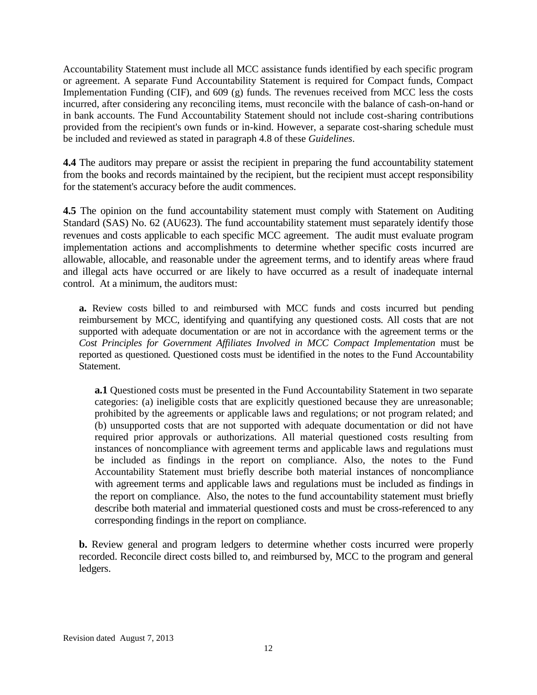Accountability Statement must include all MCC assistance funds identified by each specific program or agreement. A separate Fund Accountability Statement is required for Compact funds, Compact Implementation Funding (CIF), and 609 (g) funds. The revenues received from MCC less the costs incurred, after considering any reconciling items, must reconcile with the balance of cash-on-hand or in bank accounts. The Fund Accountability Statement should not include cost-sharing contributions provided from the recipient's own funds or in-kind. However, a separate cost-sharing schedule must be included and reviewed as stated in paragraph 4.8 of these *Guidelines*.

**4.4** The auditors may prepare or assist the recipient in preparing the fund accountability statement from the books and records maintained by the recipient, but the recipient must accept responsibility for the statement's accuracy before the audit commences.

**4.5** The opinion on the fund accountability statement must comply with Statement on Auditing Standard (SAS) No. 62 (AU623). The fund accountability statement must separately identify those revenues and costs applicable to each specific MCC agreement. The audit must evaluate program implementation actions and accomplishments to determine whether specific costs incurred are allowable, allocable, and reasonable under the agreement terms, and to identify areas where fraud and illegal acts have occurred or are likely to have occurred as a result of inadequate internal control. At a minimum, the auditors must:

**a.** Review costs billed to and reimbursed with MCC funds and costs incurred but pending reimbursement by MCC, identifying and quantifying any questioned costs. All costs that are not supported with adequate documentation or are not in accordance with the agreement terms or the *Cost Principles for Government Affiliates Involved in MCC Compact Implementation* must be reported as questioned. Questioned costs must be identified in the notes to the Fund Accountability Statement.

**a.1** Questioned costs must be presented in the Fund Accountability Statement in two separate categories: (a) ineligible costs that are explicitly questioned because they are unreasonable; prohibited by the agreements or applicable laws and regulations; or not program related; and (b) unsupported costs that are not supported with adequate documentation or did not have required prior approvals or authorizations. All material questioned costs resulting from instances of noncompliance with agreement terms and applicable laws and regulations must be included as findings in the report on compliance. Also, the notes to the Fund Accountability Statement must briefly describe both material instances of noncompliance with agreement terms and applicable laws and regulations must be included as findings in the report on compliance. Also, the notes to the fund accountability statement must briefly describe both material and immaterial questioned costs and must be cross-referenced to any corresponding findings in the report on compliance.

**b.** Review general and program ledgers to determine whether costs incurred were properly recorded. Reconcile direct costs billed to, and reimbursed by, MCC to the program and general ledgers.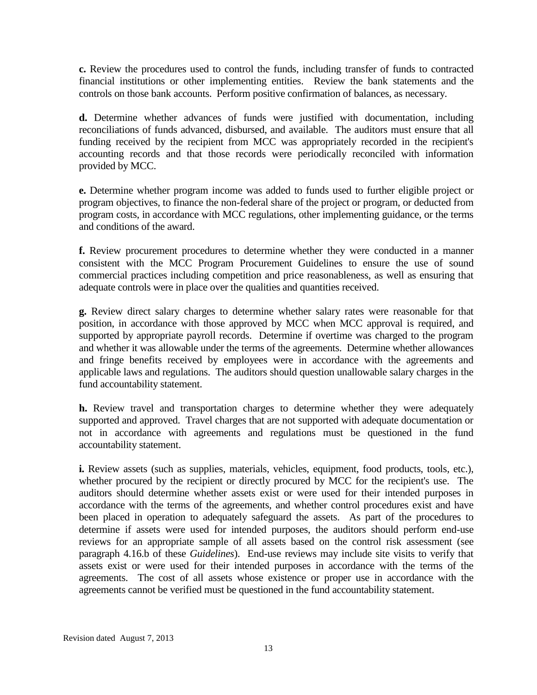**c.** Review the procedures used to control the funds, including transfer of funds to contracted financial institutions or other implementing entities. Review the bank statements and the controls on those bank accounts. Perform positive confirmation of balances, as necessary.

**d.** Determine whether advances of funds were justified with documentation, including reconciliations of funds advanced, disbursed, and available. The auditors must ensure that all funding received by the recipient from MCC was appropriately recorded in the recipient's accounting records and that those records were periodically reconciled with information provided by MCC.

**e.** Determine whether program income was added to funds used to further eligible project or program objectives, to finance the non-federal share of the project or program, or deducted from program costs, in accordance with MCC regulations, other implementing guidance, or the terms and conditions of the award.

**f.** Review procurement procedures to determine whether they were conducted in a manner consistent with the MCC Program Procurement Guidelines to ensure the use of sound commercial practices including competition and price reasonableness, as well as ensuring that adequate controls were in place over the qualities and quantities received.

**g.** Review direct salary charges to determine whether salary rates were reasonable for that position, in accordance with those approved by MCC when MCC approval is required, and supported by appropriate payroll records. Determine if overtime was charged to the program and whether it was allowable under the terms of the agreements. Determine whether allowances and fringe benefits received by employees were in accordance with the agreements and applicable laws and regulations. The auditors should question unallowable salary charges in the fund accountability statement.

**h.** Review travel and transportation charges to determine whether they were adequately supported and approved. Travel charges that are not supported with adequate documentation or not in accordance with agreements and regulations must be questioned in the fund accountability statement.

**i.** Review assets (such as supplies, materials, vehicles, equipment, food products, tools, etc.), whether procured by the recipient or directly procured by MCC for the recipient's use. The auditors should determine whether assets exist or were used for their intended purposes in accordance with the terms of the agreements, and whether control procedures exist and have been placed in operation to adequately safeguard the assets. As part of the procedures to determine if assets were used for intended purposes, the auditors should perform end-use reviews for an appropriate sample of all assets based on the control risk assessment (see paragraph 4.16.b of these *Guidelines*). End-use reviews may include site visits to verify that assets exist or were used for their intended purposes in accordance with the terms of the agreements. The cost of all assets whose existence or proper use in accordance with the agreements cannot be verified must be questioned in the fund accountability statement.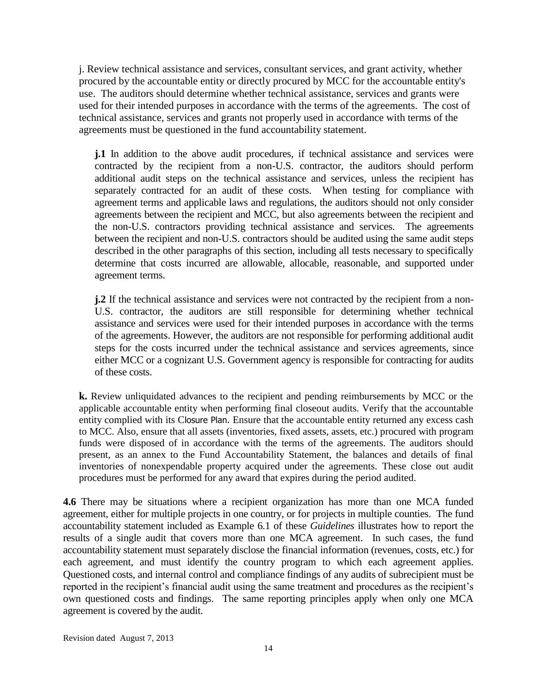j. Review technical assistance and services, consultant services, and grant activity, whether procured by the accountable entity or directly procured by MCC for the accountable entity's use. The auditors should determine whether technical assistance, services and grants were used for their intended purposes in accordance with the terms of the agreements. The cost of technical assistance, services and grants not properly used in accordance with terms of the agreements must be questioned in the fund accountability statement.

**j.1** In addition to the above audit procedures, if technical assistance and services were contracted by the recipient from a non-U.S. contractor, the auditors should perform additional audit steps on the technical assistance and services, unless the recipient has separately contracted for an audit of these costs. When testing for compliance with agreement terms and applicable laws and regulations, the auditors should not only consider agreements between the recipient and MCC, but also agreements between the recipient and the non-U.S. contractors providing technical assistance and services. The agreements between the recipient and non-U.S. contractors should be audited using the same audit steps described in the other paragraphs of this section, including all tests necessary to specifically determine that costs incurred are allowable, allocable, reasonable, and supported under agreement terms.

**j.2** If the technical assistance and services were not contracted by the recipient from a non-U.S. contractor, the auditors are still responsible for determining whether technical assistance and services were used for their intended purposes in accordance with the terms of the agreements. However, the auditors are not responsible for performing additional audit steps for the costs incurred under the technical assistance and services agreements, since either MCC or a cognizant U.S. Government agency is responsible for contracting for audits of these costs.

**k.** Review unliquidated advances to the recipient and pending reimbursements by MCC or the applicable accountable entity when performing final closeout audits. Verify that the accountable entity complied with its Closure Plan. Ensure that the accountable entity returned any excess cash to MCC. Also, ensure that all assets (inventories, fixed assets, assets, etc.) procured with program funds were disposed of in accordance with the terms of the agreements. The auditors should present, as an annex to the Fund Accountability Statement, the balances and details of final inventories of nonexpendable property acquired under the agreements. These close out audit procedures must be performed for any award that expires during the period audited.

**4.6** There may be situations where a recipient organization has more than one MCA funded agreement, either for multiple projects in one country, or for projects in multiple counties. The fund accountability statement included as Example 6.1 of these *Guidelines* illustrates how to report the results of a single audit that covers more than one MCA agreement. In such cases, the fund accountability statement must separately disclose the financial information (revenues, costs, etc.) for each agreement, and must identify the country program to which each agreement applies. Questioned costs, and internal control and compliance findings of any audits of subrecipient must be reported in the recipient's financial audit using the same treatment and procedures as the recipient's own questioned costs and findings. The same reporting principles apply when only one MCA agreement is covered by the audit.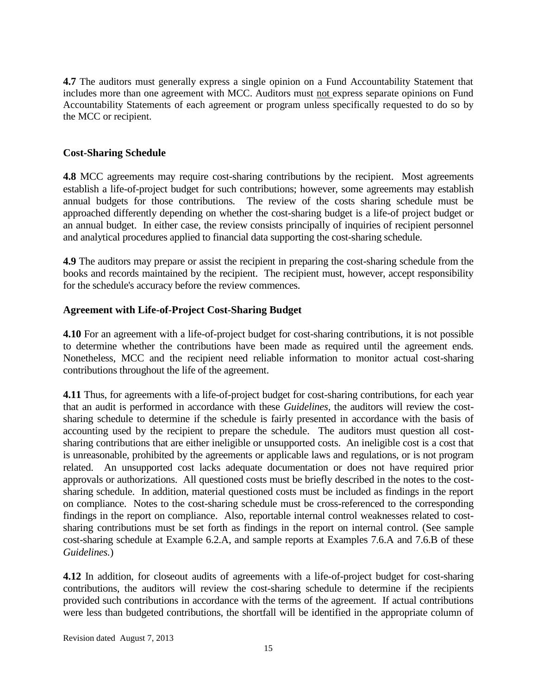**4.7** The auditors must generally express a single opinion on a Fund Accountability Statement that includes more than one agreement with MCC. Auditors must not express separate opinions on Fund Accountability Statements of each agreement or program unless specifically requested to do so by the MCC or recipient.

#### **Cost-Sharing Schedule**

**4.8** MCC agreements may require cost-sharing contributions by the recipient. Most agreements establish a life-of-project budget for such contributions; however, some agreements may establish annual budgets for those contributions. The review of the costs sharing schedule must be approached differently depending on whether the cost-sharing budget is a life-of project budget or an annual budget. In either case, the review consists principally of inquiries of recipient personnel and analytical procedures applied to financial data supporting the cost-sharing schedule.

**4.9** The auditors may prepare or assist the recipient in preparing the cost-sharing schedule from the books and records maintained by the recipient. The recipient must, however, accept responsibility for the schedule's accuracy before the review commences.

#### **Agreement with Life-of-Project Cost-Sharing Budget**

**4.10** For an agreement with a life-of-project budget for cost-sharing contributions, it is not possible to determine whether the contributions have been made as required until the agreement ends. Nonetheless, MCC and the recipient need reliable information to monitor actual cost-sharing contributions throughout the life of the agreement.

**4.11** Thus, for agreements with a life-of-project budget for cost-sharing contributions, for each year that an audit is performed in accordance with these *Guidelines*, the auditors will review the costsharing schedule to determine if the schedule is fairly presented in accordance with the basis of accounting used by the recipient to prepare the schedule. The auditors must question all costsharing contributions that are either ineligible or unsupported costs. An ineligible cost is a cost that is unreasonable, prohibited by the agreements or applicable laws and regulations, or is not program related. An unsupported cost lacks adequate documentation or does not have required prior approvals or authorizations. All questioned costs must be briefly described in the notes to the costsharing schedule. In addition, material questioned costs must be included as findings in the report on compliance. Notes to the cost-sharing schedule must be cross-referenced to the corresponding findings in the report on compliance. Also, reportable internal control weaknesses related to costsharing contributions must be set forth as findings in the report on internal control. (See sample cost-sharing schedule at Example 6.2.A, and sample reports at Examples 7.6.A and 7.6.B of these *Guidelines.*)

**4.12** In addition, for closeout audits of agreements with a life-of-project budget for cost-sharing contributions, the auditors will review the cost-sharing schedule to determine if the recipients provided such contributions in accordance with the terms of the agreement. If actual contributions were less than budgeted contributions, the shortfall will be identified in the appropriate column of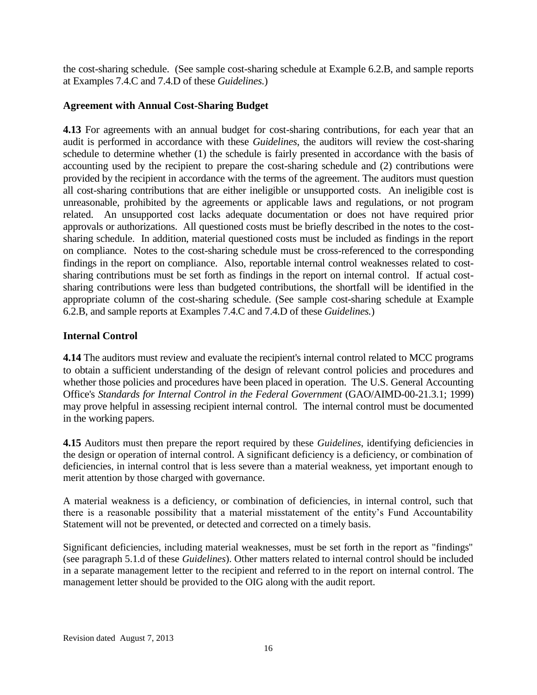the cost-sharing schedule. (See sample cost-sharing schedule at Example 6.2.B, and sample reports at Examples 7.4.C and 7.4.D of these *Guidelines.*)

#### **Agreement with Annual Cost-Sharing Budget**

**4.13** For agreements with an annual budget for cost-sharing contributions, for each year that an audit is performed in accordance with these *Guidelines*, the auditors will review the cost-sharing schedule to determine whether (1) the schedule is fairly presented in accordance with the basis of accounting used by the recipient to prepare the cost-sharing schedule and (2) contributions were provided by the recipient in accordance with the terms of the agreement. The auditors must question all cost-sharing contributions that are either ineligible or unsupported costs. An ineligible cost is unreasonable, prohibited by the agreements or applicable laws and regulations, or not program related. An unsupported cost lacks adequate documentation or does not have required prior approvals or authorizations. All questioned costs must be briefly described in the notes to the costsharing schedule. In addition, material questioned costs must be included as findings in the report on compliance. Notes to the cost-sharing schedule must be cross-referenced to the corresponding findings in the report on compliance. Also, reportable internal control weaknesses related to costsharing contributions must be set forth as findings in the report on internal control. If actual costsharing contributions were less than budgeted contributions, the shortfall will be identified in the appropriate column of the cost-sharing schedule. (See sample cost-sharing schedule at Example 6.2.B, and sample reports at Examples 7.4.C and 7.4.D of these *Guidelines.*)

### **Internal Control**

**4.14** The auditors must review and evaluate the recipient's internal control related to MCC programs to obtain a sufficient understanding of the design of relevant control policies and procedures and whether those policies and procedures have been placed in operation. The U.S. General Accounting Office's *Standards for Internal Control in the Federal Government* (GAO/AIMD-00-21.3.1; 1999) may prove helpful in assessing recipient internal control. The internal control must be documented in the working papers.

**4.15** Auditors must then prepare the report required by these *Guidelines*, identifying deficiencies in the design or operation of internal control. A significant deficiency is a deficiency, or combination of deficiencies, in internal control that is less severe than a material weakness, yet important enough to merit attention by those charged with governance.

A material weakness is a deficiency, or combination of deficiencies, in internal control, such that there is a reasonable possibility that a material misstatement of the entity's Fund Accountability Statement will not be prevented, or detected and corrected on a timely basis.

Significant deficiencies, including material weaknesses, must be set forth in the report as "findings" (see paragraph 5.1.d of these *Guidelines*). Other matters related to internal control should be included in a separate management letter to the recipient and referred to in the report on internal control. The management letter should be provided to the OIG along with the audit report.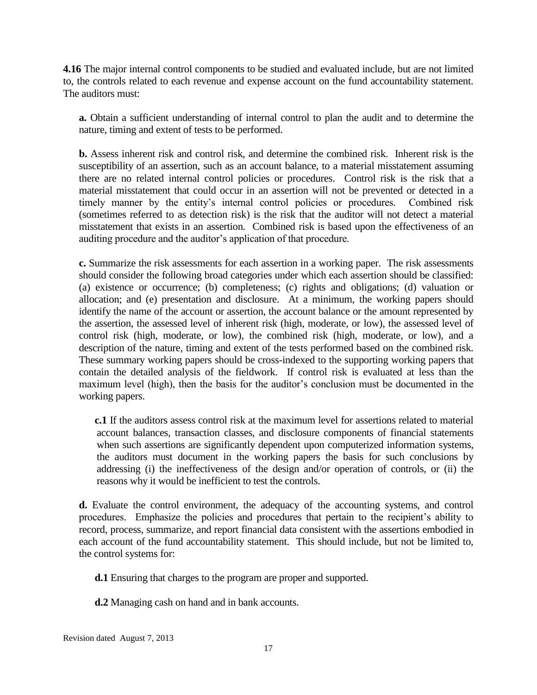**4.16** The major internal control components to be studied and evaluated include, but are not limited to, the controls related to each revenue and expense account on the fund accountability statement. The auditors must:

**a.** Obtain a sufficient understanding of internal control to plan the audit and to determine the nature, timing and extent of tests to be performed.

**b.** Assess inherent risk and control risk, and determine the combined risk. Inherent risk is the susceptibility of an assertion, such as an account balance, to a material misstatement assuming there are no related internal control policies or procedures. Control risk is the risk that a material misstatement that could occur in an assertion will not be prevented or detected in a timely manner by the entity's internal control policies or procedures. Combined risk (sometimes referred to as detection risk) is the risk that the auditor will not detect a material misstatement that exists in an assertion. Combined risk is based upon the effectiveness of an auditing procedure and the auditor's application of that procedure.

**c.** Summarize the risk assessments for each assertion in a working paper. The risk assessments should consider the following broad categories under which each assertion should be classified: (a) existence or occurrence; (b) completeness; (c) rights and obligations; (d) valuation or allocation; and (e) presentation and disclosure. At a minimum, the working papers should identify the name of the account or assertion, the account balance or the amount represented by the assertion, the assessed level of inherent risk (high, moderate, or low), the assessed level of control risk (high, moderate, or low), the combined risk (high, moderate, or low), and a description of the nature, timing and extent of the tests performed based on the combined risk. These summary working papers should be cross-indexed to the supporting working papers that contain the detailed analysis of the fieldwork. If control risk is evaluated at less than the maximum level (high), then the basis for the auditor's conclusion must be documented in the working papers.

**c.1** If the auditors assess control risk at the maximum level for assertions related to material account balances, transaction classes, and disclosure components of financial statements when such assertions are significantly dependent upon computerized information systems, the auditors must document in the working papers the basis for such conclusions by addressing (i) the ineffectiveness of the design and/or operation of controls, or (ii) the reasons why it would be inefficient to test the controls.

**d.** Evaluate the control environment, the adequacy of the accounting systems, and control procedures. Emphasize the policies and procedures that pertain to the recipient's ability to record, process, summarize, and report financial data consistent with the assertions embodied in each account of the fund accountability statement. This should include, but not be limited to, the control systems for:

**d.1** Ensuring that charges to the program are proper and supported.

**d.2** Managing cash on hand and in bank accounts.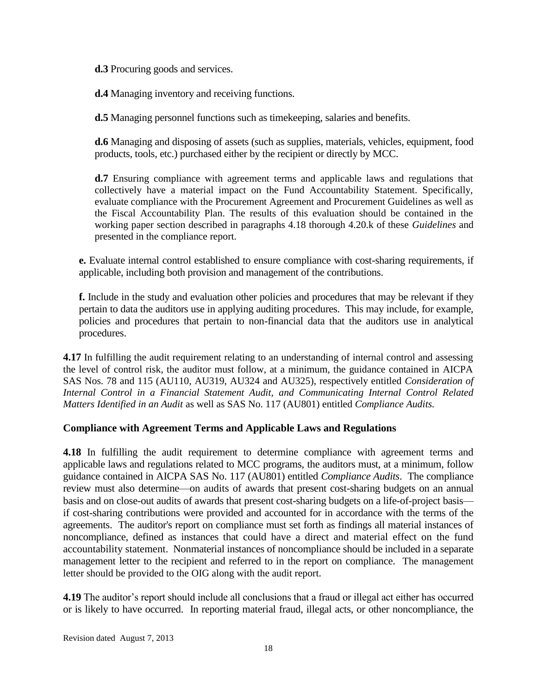**d.3** Procuring goods and services.

**d.4** Managing inventory and receiving functions.

**d.5** Managing personnel functions such as timekeeping, salaries and benefits.

**d.6** Managing and disposing of assets (such as supplies, materials, vehicles, equipment, food products, tools, etc.) purchased either by the recipient or directly by MCC.

**d.7** Ensuring compliance with agreement terms and applicable laws and regulations that collectively have a material impact on the Fund Accountability Statement. Specifically, evaluate compliance with the Procurement Agreement and Procurement Guidelines as well as the Fiscal Accountability Plan. The results of this evaluation should be contained in the working paper section described in paragraphs 4.18 thorough 4.20.k of these *Guidelines* and presented in the compliance report.

**e.** Evaluate internal control established to ensure compliance with cost-sharing requirements, if applicable, including both provision and management of the contributions.

**f.** Include in the study and evaluation other policies and procedures that may be relevant if they pertain to data the auditors use in applying auditing procedures. This may include, for example, policies and procedures that pertain to non-financial data that the auditors use in analytical procedures.

**4.17** In fulfilling the audit requirement relating to an understanding of internal control and assessing the level of control risk, the auditor must follow, at a minimum, the guidance contained in AICPA SAS Nos. 78 and 115 (AU110, AU319, AU324 and AU325), respectively entitled *Consideration of Internal Control in a Financial Statement Audit, and Communicating Internal Control Related Matters Identified in an Audit* as well as SAS No. 117 (AU801) entitled *Compliance Audits.*

### **Compliance with Agreement Terms and Applicable Laws and Regulations**

**4.18** In fulfilling the audit requirement to determine compliance with agreement terms and applicable laws and regulations related to MCC programs, the auditors must, at a minimum, follow guidance contained in AICPA SAS No. 117 (AU801) entitled *Compliance Audits*. The compliance review must also determine—on audits of awards that present cost-sharing budgets on an annual basis and on close-out audits of awards that present cost-sharing budgets on a life-of-project basis if cost-sharing contributions were provided and accounted for in accordance with the terms of the agreements. The auditor's report on compliance must set forth as findings all material instances of noncompliance, defined as instances that could have a direct and material effect on the fund accountability statement. Nonmaterial instances of noncompliance should be included in a separate management letter to the recipient and referred to in the report on compliance. The management letter should be provided to the OIG along with the audit report.

**4.19** The auditor's report should include all conclusions that a fraud or illegal act either has occurred or is likely to have occurred. In reporting material fraud, illegal acts, or other noncompliance, the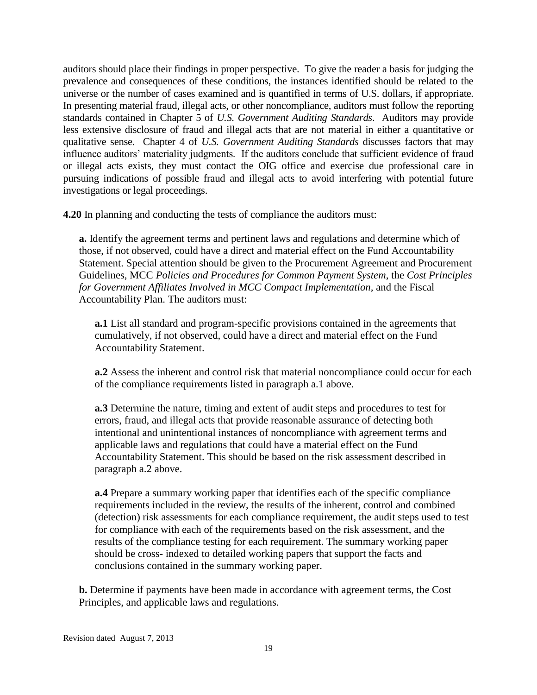auditors should place their findings in proper perspective. To give the reader a basis for judging the prevalence and consequences of these conditions, the instances identified should be related to the universe or the number of cases examined and is quantified in terms of U.S. dollars, if appropriate. In presenting material fraud, illegal acts, or other noncompliance, auditors must follow the reporting standards contained in Chapter 5 of *U.S. Government Auditing Standards*. Auditors may provide less extensive disclosure of fraud and illegal acts that are not material in either a quantitative or qualitative sense. Chapter 4 of *U.S. Government Auditing Standards* discusses factors that may influence auditors' materiality judgments. If the auditors conclude that sufficient evidence of fraud or illegal acts exists, they must contact the OIG office and exercise due professional care in pursuing indications of possible fraud and illegal acts to avoid interfering with potential future investigations or legal proceedings.

**4.20** In planning and conducting the tests of compliance the auditors must:

**a.** Identify the agreement terms and pertinent laws and regulations and determine which of those, if not observed, could have a direct and material effect on the Fund Accountability Statement. Special attention should be given to the Procurement Agreement and Procurement Guidelines, MCC *Policies and Procedures for Common Payment System*, the *Cost Principles for Government Affiliates Involved in MCC Compact Implementation,* and the Fiscal Accountability Plan. The auditors must:

**a.1** List all standard and program-specific provisions contained in the agreements that cumulatively, if not observed, could have a direct and material effect on the Fund Accountability Statement.

**a.2** Assess the inherent and control risk that material noncompliance could occur for each of the compliance requirements listed in paragraph a.1 above.

**a.3** Determine the nature, timing and extent of audit steps and procedures to test for errors, fraud, and illegal acts that provide reasonable assurance of detecting both intentional and unintentional instances of noncompliance with agreement terms and applicable laws and regulations that could have a material effect on the Fund Accountability Statement. This should be based on the risk assessment described in paragraph a.2 above.

**a.4** Prepare a summary working paper that identifies each of the specific compliance requirements included in the review, the results of the inherent, control and combined (detection) risk assessments for each compliance requirement, the audit steps used to test for compliance with each of the requirements based on the risk assessment, and the results of the compliance testing for each requirement. The summary working paper should be cross- indexed to detailed working papers that support the facts and conclusions contained in the summary working paper.

**b.** Determine if payments have been made in accordance with agreement terms, the Cost Principles, and applicable laws and regulations.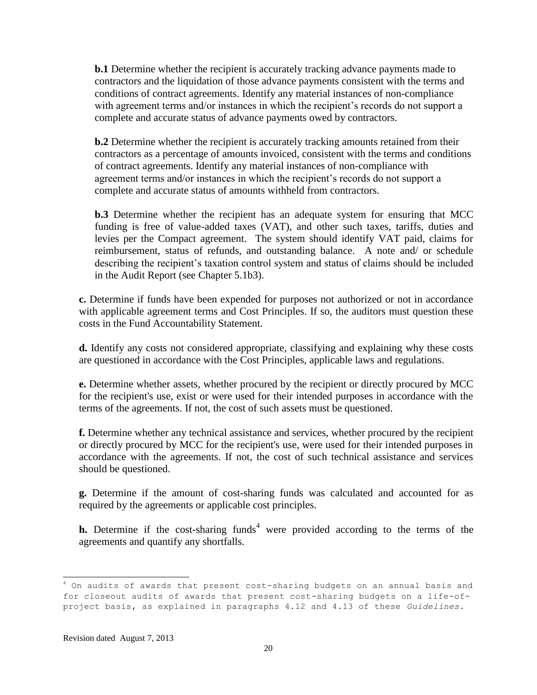**b.1** Determine whether the recipient is accurately tracking advance payments made to contractors and the liquidation of those advance payments consistent with the terms and conditions of contract agreements. Identify any material instances of non-compliance with agreement terms and/or instances in which the recipient's records do not support a complete and accurate status of advance payments owed by contractors.

**b.2** Determine whether the recipient is accurately tracking amounts retained from their contractors as a percentage of amounts invoiced, consistent with the terms and conditions of contract agreements. Identify any material instances of non-compliance with agreement terms and/or instances in which the recipient's records do not support a complete and accurate status of amounts withheld from contractors.

**b.3** Determine whether the recipient has an adequate system for ensuring that MCC funding is free of value-added taxes (VAT), and other such taxes, tariffs, duties and levies per the Compact agreement. The system should identify VAT paid, claims for reimbursement, status of refunds, and outstanding balance. A note and/ or schedule describing the recipient's taxation control system and status of claims should be included in the Audit Report (see Chapter 5.1b3).

**c.** Determine if funds have been expended for purposes not authorized or not in accordance with applicable agreement terms and Cost Principles. If so, the auditors must question these costs in the Fund Accountability Statement.

**d.** Identify any costs not considered appropriate, classifying and explaining why these costs are questioned in accordance with the Cost Principles, applicable laws and regulations.

**e.** Determine whether assets, whether procured by the recipient or directly procured by MCC for the recipient's use, exist or were used for their intended purposes in accordance with the terms of the agreements. If not, the cost of such assets must be questioned.

**f.** Determine whether any technical assistance and services, whether procured by the recipient or directly procured by MCC for the recipient's use, were used for their intended purposes in accordance with the agreements. If not, the cost of such technical assistance and services should be questioned.

**g.** Determine if the amount of cost-sharing funds was calculated and accounted for as required by the agreements or applicable cost principles.

**h.** Determine if the cost-sharing funds<sup>4</sup> were provided according to the terms of the agreements and quantify any shortfalls.

 $\overline{a}$ <sup>4</sup> On audits of awards that present cost-sharing budgets on an annual basis and for closeout audits of awards that present cost-sharing budgets on a life-ofproject basis, as explained in paragraphs 4.12 and 4.13 of these *Guidelines*.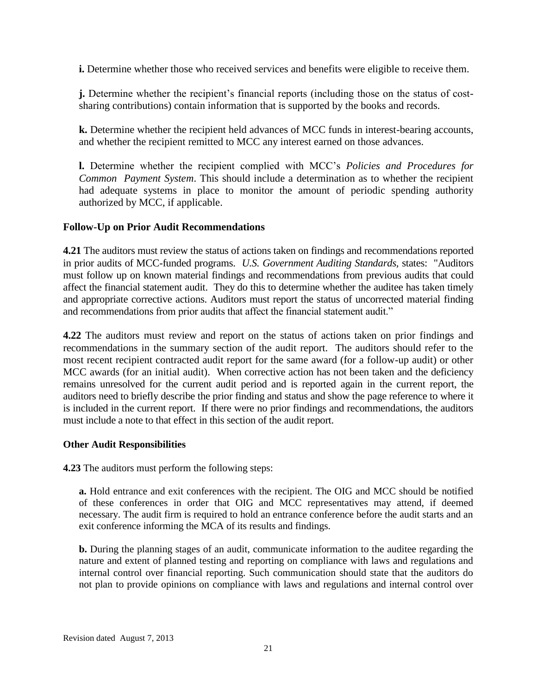**i.** Determine whether those who received services and benefits were eligible to receive them.

**j.** Determine whether the recipient's financial reports (including those on the status of costsharing contributions) contain information that is supported by the books and records.

**k.** Determine whether the recipient held advances of MCC funds in interest-bearing accounts, and whether the recipient remitted to MCC any interest earned on those advances.

**l.** Determine whether the recipient complied with MCC's *Policies and Procedures for Common Payment System*. This should include a determination as to whether the recipient had adequate systems in place to monitor the amount of periodic spending authority authorized by MCC, if applicable.

#### **Follow-Up on Prior Audit Recommendations**

**4.21** The auditors must review the status of actions taken on findings and recommendations reported in prior audits of MCC-funded programs. *U.S. Government Auditing Standards,* states: "Auditors must follow up on known material findings and recommendations from previous audits that could affect the financial statement audit. They do this to determine whether the auditee has taken timely and appropriate corrective actions. Auditors must report the status of uncorrected material finding and recommendations from prior audits that affect the financial statement audit."

**4.22** The auditors must review and report on the status of actions taken on prior findings and recommendations in the summary section of the audit report. The auditors should refer to the most recent recipient contracted audit report for the same award (for a follow-up audit) or other MCC awards (for an initial audit). When corrective action has not been taken and the deficiency remains unresolved for the current audit period and is reported again in the current report, the auditors need to briefly describe the prior finding and status and show the page reference to where it is included in the current report. If there were no prior findings and recommendations, the auditors must include a note to that effect in this section of the audit report.

#### **Other Audit Responsibilities**

**4.23** The auditors must perform the following steps:

**a.** Hold entrance and exit conferences with the recipient. The OIG and MCC should be notified of these conferences in order that OIG and MCC representatives may attend, if deemed necessary. The audit firm is required to hold an entrance conference before the audit starts and an exit conference informing the MCA of its results and findings.

**b.** During the planning stages of an audit, communicate information to the auditee regarding the nature and extent of planned testing and reporting on compliance with laws and regulations and internal control over financial reporting. Such communication should state that the auditors do not plan to provide opinions on compliance with laws and regulations and internal control over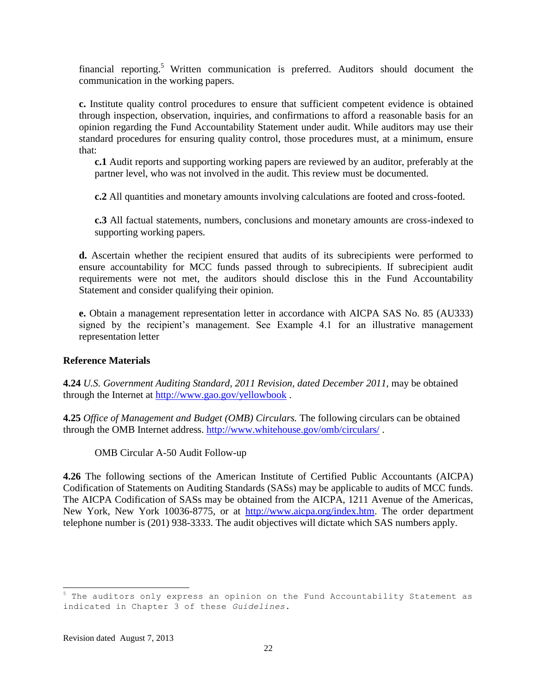financial reporting.<sup>5</sup> Written communication is preferred. Auditors should document the communication in the working papers.

**c.** Institute quality control procedures to ensure that sufficient competent evidence is obtained through inspection, observation, inquiries, and confirmations to afford a reasonable basis for an opinion regarding the Fund Accountability Statement under audit. While auditors may use their standard procedures for ensuring quality control, those procedures must, at a minimum, ensure that:

**c.1** Audit reports and supporting working papers are reviewed by an auditor, preferably at the partner level, who was not involved in the audit. This review must be documented.

**c.2** All quantities and monetary amounts involving calculations are footed and cross-footed.

**c.3** All factual statements, numbers, conclusions and monetary amounts are cross-indexed to supporting working papers.

**d.** Ascertain whether the recipient ensured that audits of its subrecipients were performed to ensure accountability for MCC funds passed through to subrecipients. If subrecipient audit requirements were not met, the auditors should disclose this in the Fund Accountability Statement and consider qualifying their opinion.

**e.** Obtain a management representation letter in accordance with AICPA SAS No. 85 (AU333) signed by the recipient's management. See Example 4.1 for an illustrative management representation letter

#### **Reference Materials**

**4.24** *U.S. Government Auditing Standard, 2011 Revision, dated December 2011,* may be obtained through the Internet at<http://www.gao.gov/yellowbook> .

**4.25** *Office of Management and Budget (OMB) Circulars.* The following circulars can be obtained through the OMB Internet address.<http://www.whitehouse.gov/omb/circulars/>.

OMB Circular A-50 Audit Follow-up

**4.26** The following sections of the American Institute of Certified Public Accountants (AICPA) Codification of Statements on Auditing Standards (SASs) may be applicable to audits of MCC funds. The AICPA Codification of SASs may be obtained from the AICPA, 1211 Avenue of the Americas, New York, New York 10036-8775, or at [http://www.aicpa.org/index.htm.](http://www.aicpa.org/index.htm) The order department telephone number is (201) 938-3333. The audit objectives will dictate which SAS numbers apply.

 $5$  The auditors only express an opinion on the Fund Accountability Statement as indicated in Chapter 3 of these *Guidelines*.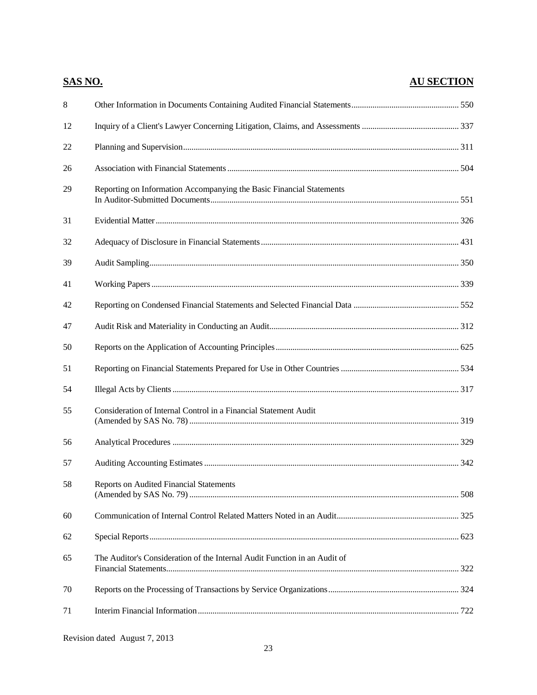|         | <b>SAS NO.</b>                                                            | <b>AU SECTION</b> |
|---------|---------------------------------------------------------------------------|-------------------|
| $\,8\,$ |                                                                           |                   |
| 12      |                                                                           |                   |
| 22      |                                                                           |                   |
| 26      |                                                                           |                   |
| 29      | Reporting on Information Accompanying the Basic Financial Statements      |                   |
| 31      |                                                                           |                   |
| 32      |                                                                           |                   |
| 39      |                                                                           |                   |
| 41      |                                                                           |                   |
| 42      |                                                                           |                   |
| 47      |                                                                           |                   |
| 50      |                                                                           |                   |
| 51      |                                                                           |                   |
| 54      |                                                                           |                   |
| 55      | Consideration of Internal Control in a Financial Statement Audit          |                   |
| 56      |                                                                           |                   |
| 57      |                                                                           |                   |
| 58      | <b>Reports on Audited Financial Statements</b>                            |                   |
| 60      |                                                                           |                   |
| 62      |                                                                           |                   |
| 65      | The Auditor's Consideration of the Internal Audit Function in an Audit of |                   |
| 70      |                                                                           |                   |
| 71      |                                                                           |                   |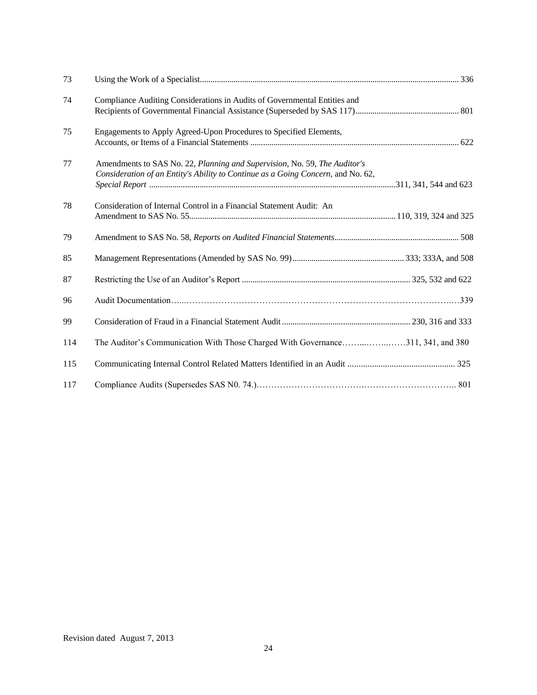| 73  |                                                                                                                                                               |  |
|-----|---------------------------------------------------------------------------------------------------------------------------------------------------------------|--|
| 74  | Compliance Auditing Considerations in Audits of Governmental Entities and                                                                                     |  |
| 75  | Engagements to Apply Agreed-Upon Procedures to Specified Elements,                                                                                            |  |
| 77  | Amendments to SAS No. 22, Planning and Supervision, No. 59, The Auditor's<br>Consideration of an Entity's Ability to Continue as a Going Concern, and No. 62, |  |
| 78  | Consideration of Internal Control in a Financial Statement Audit: An                                                                                          |  |
| 79  |                                                                                                                                                               |  |
| 85  |                                                                                                                                                               |  |
| 87  |                                                                                                                                                               |  |
| 96  |                                                                                                                                                               |  |
| 99  |                                                                                                                                                               |  |
| 114 |                                                                                                                                                               |  |
| 115 |                                                                                                                                                               |  |
| 117 |                                                                                                                                                               |  |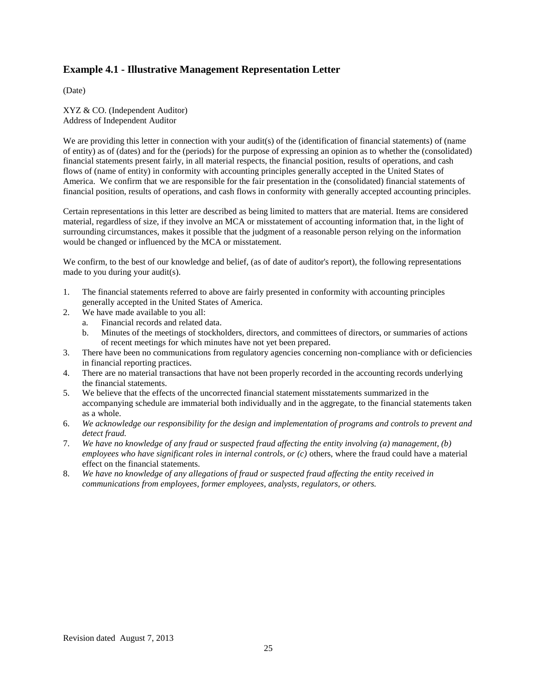#### **Example 4.1 - Illustrative Management Representation Letter**

(Date)

XYZ & CO. (Independent Auditor) Address of Independent Auditor

We are providing this letter in connection with your audit(s) of the (identification of financial statements) of (name of entity) as of (dates) and for the (periods) for the purpose of expressing an opinion as to whether the (consolidated) financial statements present fairly, in all material respects, the financial position, results of operations, and cash flows of (name of entity) in conformity with accounting principles generally accepted in the United States of America. We confirm that we are responsible for the fair presentation in the (consolidated) financial statements of financial position, results of operations, and cash flows in conformity with generally accepted accounting principles.

Certain representations in this letter are described as being limited to matters that are material. Items are considered material, regardless of size, if they involve an MCA or misstatement of accounting information that, in the light of surrounding circumstances, makes it possible that the judgment of a reasonable person relying on the information would be changed or influenced by the MCA or misstatement.

We confirm, to the best of our knowledge and belief, (as of date of auditor's report), the following representations made to you during your audit(s).

- 1. The financial statements referred to above are fairly presented in conformity with accounting principles generally accepted in the United States of America.
- 2. We have made available to you all:
	- a. Financial records and related data.
	- b. Minutes of the meetings of stockholders, directors, and committees of directors, or summaries of actions of recent meetings for which minutes have not yet been prepared.
- 3. There have been no communications from regulatory agencies concerning non-compliance with or deficiencies in financial reporting practices.
- 4. There are no material transactions that have not been properly recorded in the accounting records underlying the financial statements.
- 5. We believe that the effects of the uncorrected financial statement misstatements summarized in the accompanying schedule are immaterial both individually and in the aggregate, to the financial statements taken as a whole.
- 6. *We acknowledge our responsibility for the design and implementation of programs and controls to prevent and detect fraud.*
- 7. *We have no knowledge of any fraud or suspected fraud affecting the entity involving (a) management, (b) employees who have significant roles in internal controls, or (c)* others, where the fraud could have a material effect on the financial statements.
- 8. *We have no knowledge of any allegations of fraud or suspected fraud affecting the entity received in communications from employees, former employees, analysts, regulators, or others.*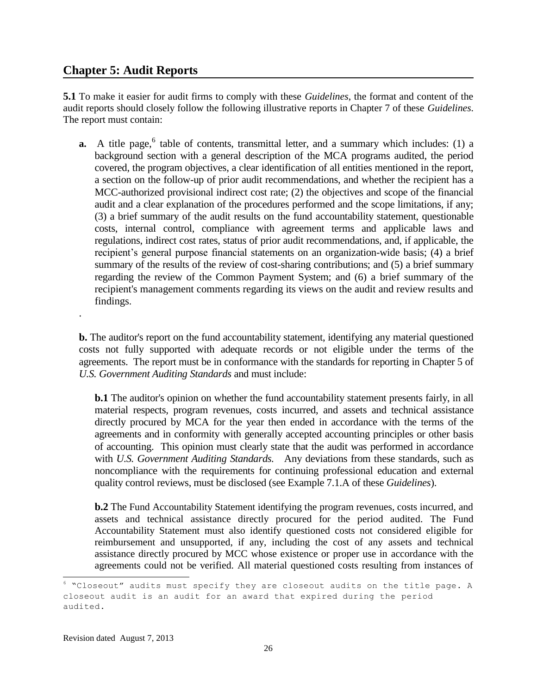# **Chapter 5: Audit Reports**

.

**5.1** To make it easier for audit firms to comply with these *Guidelines*, the format and content of the audit reports should closely follow the following illustrative reports in Chapter 7 of these *Guidelines*. The report must contain:

**a.** A title page,  $6$  table of contents, transmittal letter, and a summary which includes: (1) a background section with a general description of the MCA programs audited, the period covered, the program objectives, a clear identification of all entities mentioned in the report, a section on the follow-up of prior audit recommendations, and whether the recipient has a MCC-authorized provisional indirect cost rate; (2) the objectives and scope of the financial audit and a clear explanation of the procedures performed and the scope limitations, if any; (3) a brief summary of the audit results on the fund accountability statement, questionable costs, internal control, compliance with agreement terms and applicable laws and regulations, indirect cost rates, status of prior audit recommendations, and, if applicable, the recipient's general purpose financial statements on an organization-wide basis; (4) a brief summary of the results of the review of cost-sharing contributions; and (5) a brief summary regarding the review of the Common Payment System; and (6) a brief summary of the recipient's management comments regarding its views on the audit and review results and findings.

**b.** The auditor's report on the fund accountability statement, identifying any material questioned costs not fully supported with adequate records or not eligible under the terms of the agreements. The report must be in conformance with the standards for reporting in Chapter 5 of *U.S. Government Auditing Standards* and must include:

**b.1** The auditor's opinion on whether the fund accountability statement presents fairly, in all material respects, program revenues, costs incurred, and assets and technical assistance directly procured by MCA for the year then ended in accordance with the terms of the agreements and in conformity with generally accepted accounting principles or other basis of accounting. This opinion must clearly state that the audit was performed in accordance with *U.S. Government Auditing Standards.* Any deviations from these standards, such as noncompliance with the requirements for continuing professional education and external quality control reviews, must be disclosed (see Example 7.1.A of these *Guidelines*).

**b.2** The Fund Accountability Statement identifying the program revenues, costs incurred, and assets and technical assistance directly procured for the period audited. The Fund Accountability Statement must also identify questioned costs not considered eligible for reimbursement and unsupported, if any, including the cost of any assets and technical assistance directly procured by MCC whose existence or proper use in accordance with the agreements could not be verified. All material questioned costs resulting from instances of

 $6$  "Closeout" audits must specify they are closeout audits on the title page. A closeout audit is an audit for an award that expired during the period audited.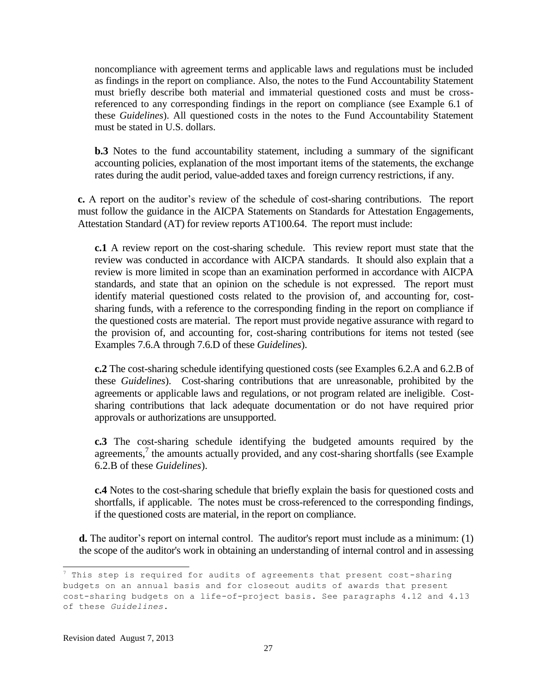noncompliance with agreement terms and applicable laws and regulations must be included as findings in the report on compliance. Also, the notes to the Fund Accountability Statement must briefly describe both material and immaterial questioned costs and must be crossreferenced to any corresponding findings in the report on compliance (see Example 6.1 of these *Guidelines*). All questioned costs in the notes to the Fund Accountability Statement must be stated in U.S. dollars.

**b.3** Notes to the fund accountability statement, including a summary of the significant accounting policies, explanation of the most important items of the statements, the exchange rates during the audit period, value-added taxes and foreign currency restrictions, if any.

**c.** A report on the auditor's review of the schedule of cost-sharing contributions. The report must follow the guidance in the AICPA Statements on Standards for Attestation Engagements, Attestation Standard (AT) for review reports AT100.64. The report must include:

**c.1** A review report on the cost-sharing schedule. This review report must state that the review was conducted in accordance with AICPA standards. It should also explain that a review is more limited in scope than an examination performed in accordance with AICPA standards, and state that an opinion on the schedule is not expressed. The report must identify material questioned costs related to the provision of, and accounting for, costsharing funds, with a reference to the corresponding finding in the report on compliance if the questioned costs are material. The report must provide negative assurance with regard to the provision of, and accounting for, cost-sharing contributions for items not tested (see Examples 7.6.A through 7.6.D of these *Guidelines*).

**c.2** The cost-sharing schedule identifying questioned costs (see Examples 6.2.A and 6.2.B of these *Guidelines*). Cost-sharing contributions that are unreasonable, prohibited by the agreements or applicable laws and regulations, or not program related are ineligible. Costsharing contributions that lack adequate documentation or do not have required prior approvals or authorizations are unsupported.

**c.3** The cost-sharing schedule identifying the budgeted amounts required by the agreements,<sup>7</sup> the amounts actually provided, and any cost-sharing shortfalls (see Example 6.2.B of these *Guidelines*).

**c.4** Notes to the cost-sharing schedule that briefly explain the basis for questioned costs and shortfalls, if applicable. The notes must be cross-referenced to the corresponding findings, if the questioned costs are material, in the report on compliance.

**d.** The auditor's report on internal control. The auditor's report must include as a minimum: (1) the scope of the auditor's work in obtaining an understanding of internal control and in assessing

 $^7$  This step is required for audits of agreements that present cost-sharing budgets on an annual basis and for closeout audits of awards that present cost-sharing budgets on a life-of-project basis. See paragraphs 4.12 and 4.13 of these *Guidelines*.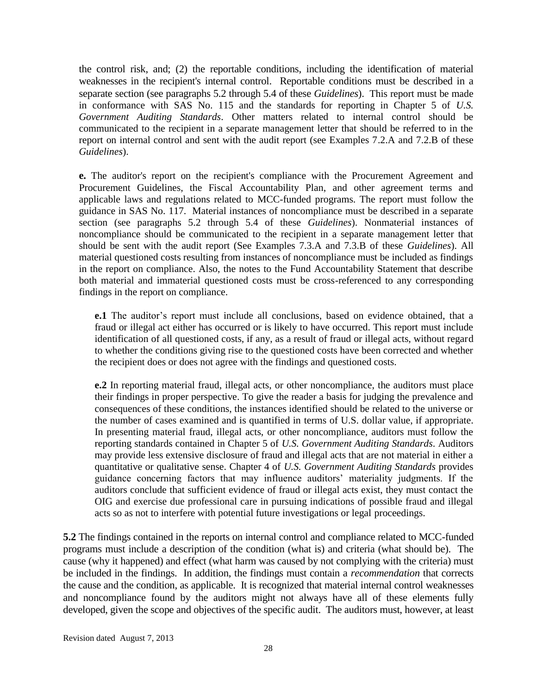the control risk, and; (2) the reportable conditions, including the identification of material weaknesses in the recipient's internal control. Reportable conditions must be described in a separate section (see paragraphs 5.2 through 5.4 of these *Guidelines*). This report must be made in conformance with SAS No. 115 and the standards for reporting in Chapter 5 of *U.S. Government Auditing Standards*. Other matters related to internal control should be communicated to the recipient in a separate management letter that should be referred to in the report on internal control and sent with the audit report (see Examples 7.2.A and 7.2.B of these *Guidelines*).

**e.** The auditor's report on the recipient's compliance with the Procurement Agreement and Procurement Guidelines, the Fiscal Accountability Plan, and other agreement terms and applicable laws and regulations related to MCC-funded programs. The report must follow the guidance in SAS No. 117. Material instances of noncompliance must be described in a separate section (see paragraphs 5.2 through 5.4 of these *Guidelines*). Nonmaterial instances of noncompliance should be communicated to the recipient in a separate management letter that should be sent with the audit report (See Examples 7.3.A and 7.3.B of these *Guidelines*). All material questioned costs resulting from instances of noncompliance must be included as findings in the report on compliance. Also, the notes to the Fund Accountability Statement that describe both material and immaterial questioned costs must be cross-referenced to any corresponding findings in the report on compliance.

**e.1** The auditor's report must include all conclusions, based on evidence obtained, that a fraud or illegal act either has occurred or is likely to have occurred. This report must include identification of all questioned costs, if any, as a result of fraud or illegal acts, without regard to whether the conditions giving rise to the questioned costs have been corrected and whether the recipient does or does not agree with the findings and questioned costs.

**e.2** In reporting material fraud, illegal acts, or other noncompliance, the auditors must place their findings in proper perspective. To give the reader a basis for judging the prevalence and consequences of these conditions, the instances identified should be related to the universe or the number of cases examined and is quantified in terms of U.S. dollar value, if appropriate. In presenting material fraud, illegal acts, or other noncompliance, auditors must follow the reporting standards contained in Chapter 5 of *U.S. Government Auditing Standards*. Auditors may provide less extensive disclosure of fraud and illegal acts that are not material in either a quantitative or qualitative sense. Chapter 4 of *U.S. Government Auditing Standards* provides guidance concerning factors that may influence auditors' materiality judgments. If the auditors conclude that sufficient evidence of fraud or illegal acts exist, they must contact the OIG and exercise due professional care in pursuing indications of possible fraud and illegal acts so as not to interfere with potential future investigations or legal proceedings.

**5.2** The findings contained in the reports on internal control and compliance related to MCC-funded programs must include a description of the condition (what is) and criteria (what should be). The cause (why it happened) and effect (what harm was caused by not complying with the criteria) must be included in the findings. In addition, the findings must contain a *recommendation* that corrects the cause and the condition, as applicable. It is recognized that material internal control weaknesses and noncompliance found by the auditors might not always have all of these elements fully developed, given the scope and objectives of the specific audit. The auditors must, however, at least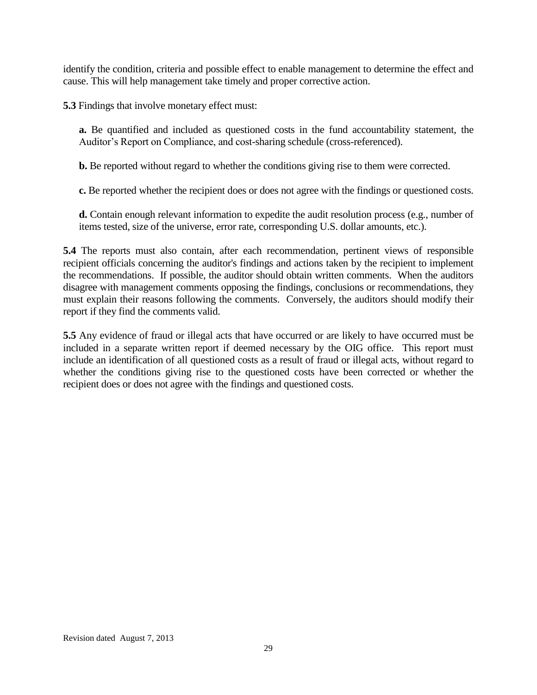identify the condition, criteria and possible effect to enable management to determine the effect and cause. This will help management take timely and proper corrective action.

**5.3** Findings that involve monetary effect must:

**a.** Be quantified and included as questioned costs in the fund accountability statement, the Auditor's Report on Compliance, and cost-sharing schedule (cross-referenced).

**b.** Be reported without regard to whether the conditions giving rise to them were corrected.

**c.** Be reported whether the recipient does or does not agree with the findings or questioned costs.

**d.** Contain enough relevant information to expedite the audit resolution process (e.g., number of items tested, size of the universe, error rate, corresponding U.S. dollar amounts, etc.).

**5.4** The reports must also contain, after each recommendation, pertinent views of responsible recipient officials concerning the auditor's findings and actions taken by the recipient to implement the recommendations. If possible, the auditor should obtain written comments. When the auditors disagree with management comments opposing the findings, conclusions or recommendations, they must explain their reasons following the comments. Conversely, the auditors should modify their report if they find the comments valid.

**5.5** Any evidence of fraud or illegal acts that have occurred or are likely to have occurred must be included in a separate written report if deemed necessary by the OIG office. This report must include an identification of all questioned costs as a result of fraud or illegal acts, without regard to whether the conditions giving rise to the questioned costs have been corrected or whether the recipient does or does not agree with the findings and questioned costs.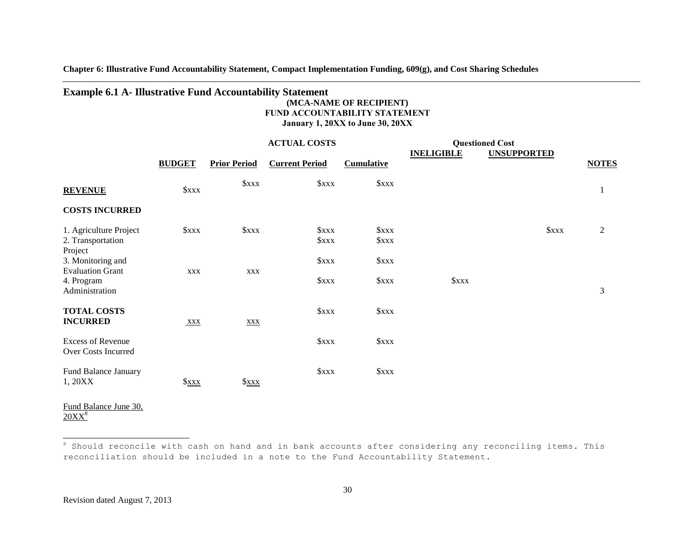**Chapter 6: Illustrative Fund Accountability Statement, Compact Implementation Funding, 609(g), and Cost Sharing Schedules**

#### **Example 6.1 A- Illustrative Fund Accountability Statement**

#### **(MCA-NAME OF RECIPIENT) FUND ACCOUNTABILITY STATEMENT January 1, 20XX to June 30, 20XX**

|                                                            |               |                     | <b>ACTUAL COSTS</b>        |                           |                   | <b>Questioned Cost</b> |                |
|------------------------------------------------------------|---------------|---------------------|----------------------------|---------------------------|-------------------|------------------------|----------------|
|                                                            | <b>BUDGET</b> | <b>Prior Period</b> | <b>Current Period</b>      | <b>Cumulative</b>         | <b>INELIGIBLE</b> | <b>UNSUPPORTED</b>     | <b>NOTES</b>   |
| <b>REVENUE</b>                                             | Sxxx          | <b><i>Sxxx</i></b>  | Sxxx                       | $S_{XXX}$                 |                   |                        | $\mathbf{1}$   |
| <b>COSTS INCURRED</b>                                      |               |                     |                            |                           |                   |                        |                |
| 1. Agriculture Project<br>2. Transportation<br>Project     | xxx           | xxx                 | xxx<br><b><i>Sxxx</i></b>  | xxx<br><b><i>Sxxx</i></b> |                   | xxx                    | $\overline{2}$ |
| 3. Monitoring and<br><b>Evaluation Grant</b><br>4. Program | <b>XXX</b>    | <b>XXX</b>          | <b><i>Sxxx</i></b><br>Sxxx | <b><i>Sxxx</i></b><br>xxx | Sxxx              |                        |                |
| Administration<br><b>TOTAL COSTS</b><br><b>INCURRED</b>    | XXX           | <b>XXX</b>          | Sxxx                       | xxx                       |                   |                        | $\mathfrak{Z}$ |
| <b>Excess of Revenue</b><br>Over Costs Incurred            |               |                     | <b><i>Sxxx</i></b>         | <b><i>Sxxx</i></b>        |                   |                        |                |
| Fund Balance January<br>1, 20XX                            | $x_{xx}$      | $x_0$               | Sxxx                       | <b><i>Sxxx</i></b>        |                   |                        |                |
| Fund Balance June 30,<br>$20XX^8$                          |               |                     |                            |                           |                   |                        |                |

 $8$  Should reconcile with cash on hand and in bank accounts after considering any reconciling items. This reconciliation should be included in a note to the Fund Accountability Statement.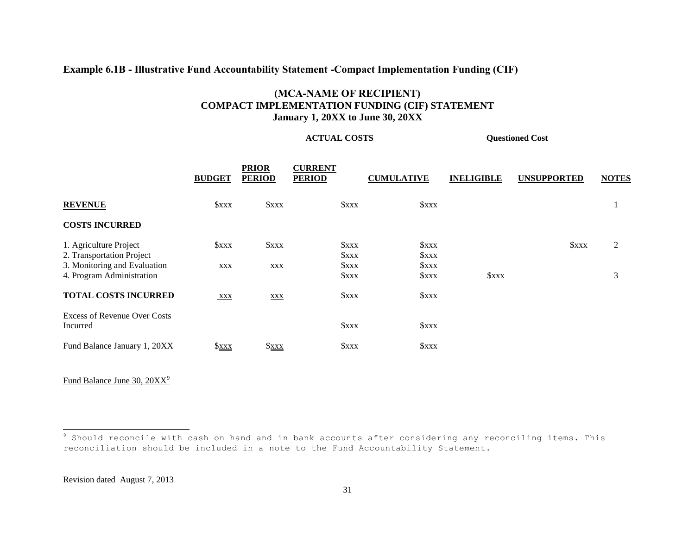#### **Example 6.1B - Illustrative Fund Accountability Statement -Compact Implementation Funding (CIF)**

#### **(MCA-NAME OF RECIPIENT) COMPACT IMPLEMENTATION FUNDING (CIF) STATEMENT January 1, 20XX to June 30, 20XX**

**ACTUAL COSTS Questioned Cost**

|                                                                                                                  | <b>BUDGET</b>                           | <b>PRIOR</b><br><b>PERIOD</b> | <b>CURRENT</b><br><b>PERIOD</b>            | <b>CUMULATIVE</b>                           | <b>INELIGIBLE</b>  | <b>UNSUPPORTED</b> | <b>NOTES</b> |
|------------------------------------------------------------------------------------------------------------------|-----------------------------------------|-------------------------------|--------------------------------------------|---------------------------------------------|--------------------|--------------------|--------------|
| <b>REVENUE</b>                                                                                                   | <b><i><u>Sxxx</u></i></b>               | \$xxx                         | $S_{XXX}$                                  | xx                                          |                    |                    |              |
| <b>COSTS INCURRED</b>                                                                                            |                                         |                               |                                            |                                             |                    |                    |              |
| 1. Agriculture Project<br>2. Transportation Project<br>3. Monitoring and Evaluation<br>4. Program Administration | <b><i><u>Sxxx</u></i></b><br><b>XXX</b> | $S_{XXX}$<br><b>XXX</b>       | \$xxx<br>\$xxx<br>$S_{XXX}$<br><b>SXXX</b> | xxx<br>\$xxx<br>\$xxx<br><b><i>SXXX</i></b> | <b><i>Sxxx</i></b> | $S_{XXX}$          | 2<br>3       |
| <b>TOTAL COSTS INCURRED</b>                                                                                      | <b>XXX</b>                              | <b>XXX</b>                    | \$xxx                                      | <b><i>SXXX</i></b>                          |                    |                    |              |
| <b>Excess of Revenue Over Costs</b><br>Incurred                                                                  |                                         |                               | xxx                                        | $x_0$                                       |                    |                    |              |
| Fund Balance January 1, 20XX                                                                                     | $x_0$                                   | $x_0$                         | <b><i><u>Sxxx</u></i></b>                  | xx                                          |                    |                    |              |

Fund Balance June 30, 20XX<sup>9</sup>

<sup>9</sup> Should reconcile with cash on hand and in bank accounts after considering any reconciling items. This reconciliation should be included in a note to the Fund Accountability Statement.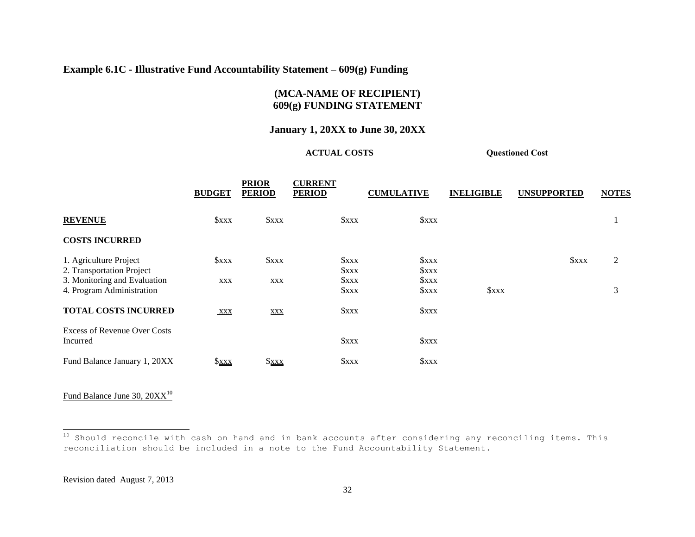#### **Example 6.1C - Illustrative Fund Accountability Statement – 609(g) Funding**

**PRIOR** 

### **(MCA-NAME OF RECIPIENT) 609(g) FUNDING STATEMENT**

#### **January 1, 20XX to June 30, 20XX**

#### **ACTUAL COSTS Questioned Cost**

 $\sim$   $\sim$   $\sim$   $\sim$   $\sim$   $\sim$   $\sim$ 

|                                                                                     | <b>BUDGET</b>             | <b>PRIOR</b><br><b>PERIOD</b> | <b>CURRENT</b><br><b>PERIOD</b> | <b>CUMULATIVE</b>                               | <b>INELIGIBLE</b>  | <b>UNSUPPORTED</b> | <b>NOTES</b> |
|-------------------------------------------------------------------------------------|---------------------------|-------------------------------|---------------------------------|-------------------------------------------------|--------------------|--------------------|--------------|
| <b>REVENUE</b>                                                                      | <b><i><u>Sxxx</u></i></b> | $S_{XXX}$                     | $S_{XXX}$                       | Sxx                                             |                    |                    |              |
| <b>COSTS INCURRED</b>                                                               |                           |                               |                                 |                                                 |                    |                    |              |
| 1. Agriculture Project<br>2. Transportation Project<br>3. Monitoring and Evaluation | xxx<br>XXX                | <b><i>SXXX</i></b><br>XXX     | $S_{XXX}$<br>\$xxx<br>\$xxx     | Sxx<br><b><i>SXXX</i></b><br><b><i>SXXX</i></b> |                    | <b><i>Sxxx</i></b> | 2            |
| 4. Program Administration                                                           |                           |                               | <b><i>SXXX</i></b>              | <b><i>SXXX</i></b>                              | <b><i>Sxxx</i></b> |                    | 3            |
| <b>TOTAL COSTS INCURRED</b>                                                         | <b>XXX</b>                | <b>XXX</b>                    | <b><i>SXXX</i></b>              | Sxx                                             |                    |                    |              |
| <b>Excess of Revenue Over Costs</b><br>Incurred                                     |                           |                               | <b><i>SXXX</i></b>              | Sxx                                             |                    |                    |              |
| Fund Balance January 1, 20XX                                                        | $x_0$                     | $x_0$                         | <b><i>SXXX</i></b>              | Sxx                                             |                    |                    |              |

Fund Balance June 30,  $20XX^{10}$ 

 $^{10}$  Should reconcile with cash on hand and in bank accounts after considering any reconciling items. This reconciliation should be included in a note to the Fund Accountability Statement.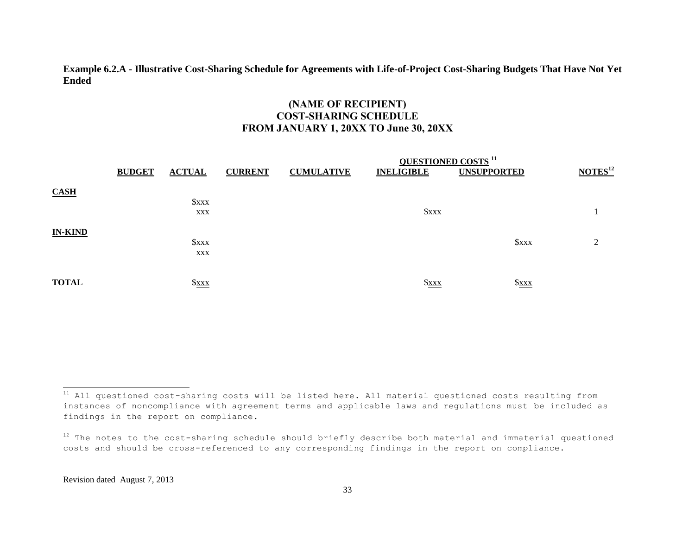#### **Example 6.2.A - Illustrative Cost-Sharing Schedule for Agreements with Life-of-Project Cost-Sharing Budgets That Have Not Yet Ended**

### **(NAME OF RECIPIENT) COST-SHARING SCHEDULE FROM JANUARY 1, 20XX TO June 30, 20XX**

|                | <b>BUDGET</b> | <b>ACTUAL</b>    | <b>CURRENT</b> | <b>CUMULATIVE</b> | <b>QUESTIONED COSTS</b> <sup>11</sup><br><b>INELIGIBLE</b> | <b>UNSUPPORTED</b> | NOTES <sup>12</sup> |
|----------------|---------------|------------------|----------------|-------------------|------------------------------------------------------------|--------------------|---------------------|
| CASH           |               | $S_{XXX}$<br>XXX |                |                   | <b><i>Sxxx</i></b>                                         |                    |                     |
| <b>IN-KIND</b> |               | $S_{XXX}$<br>XXX |                |                   |                                                            | <b><i>SXXX</i></b> | ↑                   |
| <b>TOTAL</b>   |               | $S_{\text{XXX}}$ |                |                   | $x_0$                                                      | $S_{\text{XXX}}$   |                     |

 $11$  All questioned cost-sharing costs will be listed here. All material questioned costs resulting from instances of noncompliance with agreement terms and applicable laws and regulations must be included as findings in the report on compliance.

 $12$  The notes to the cost-sharing schedule should briefly describe both material and immaterial questioned costs and should be cross-referenced to any corresponding findings in the report on compliance.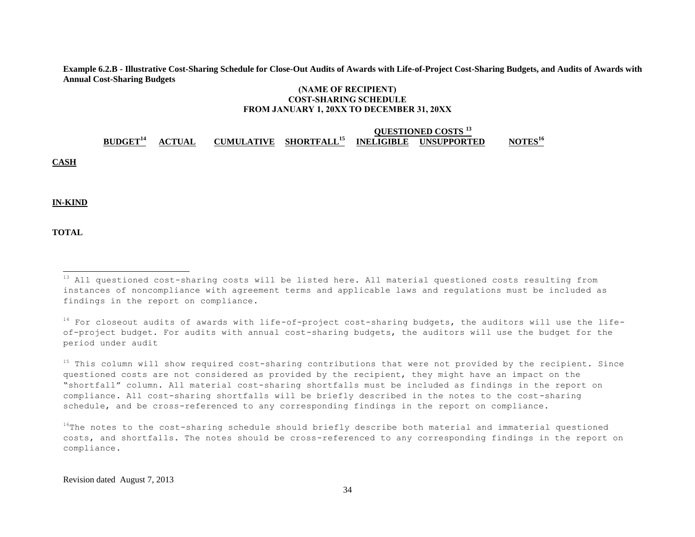**Example 6.2.B - Illustrative Cost-Sharing Schedule for Close-Out Audits of Awards with Life-of-Project Cost-Sharing Budgets, and Audits of Awards with Annual Cost-Sharing Budgets**

#### **(NAME OF RECIPIENT) COST-SHARING SCHEDULE FROM JANUARY 1, 20XX TO DECEMBER 31, 20XX**

# **QUESTIONED COSTS <sup>13</sup> BUDGET<sup>14</sup> ACTUAL CUMULATIVE SHORTFALL<sup>15</sup> INELIGIBLE UNSUPPORTED NOTES<sup>16</sup>**

**CASH**

**IN-KIND**

**TOTAL**

 $^{13}$  All questioned cost-sharing costs will be listed here. All material questioned costs resulting from instances of noncompliance with agreement terms and applicable laws and regulations must be included as findings in the report on compliance.

<sup>14</sup> For closeout audits of awards with life-of-project cost-sharing budgets, the auditors will use the lifeof-project budget. For audits with annual cost-sharing budgets, the auditors will use the budget for the period under audit

<sup>&</sup>lt;sup>15</sup> This column will show required cost-sharing contributions that were not provided by the recipient. Since questioned costs are not considered as provided by the recipient, they might have an impact on the "shortfall" column. All material cost-sharing shortfalls must be included as findings in the report on compliance. All cost-sharing shortfalls will be briefly described in the notes to the cost-sharing schedule, and be cross-referenced to any corresponding findings in the report on compliance.

 $16$ The notes to the cost-sharing schedule should briefly describe both material and immaterial questioned costs, and shortfalls. The notes should be cross-referenced to any corresponding findings in the report on compliance.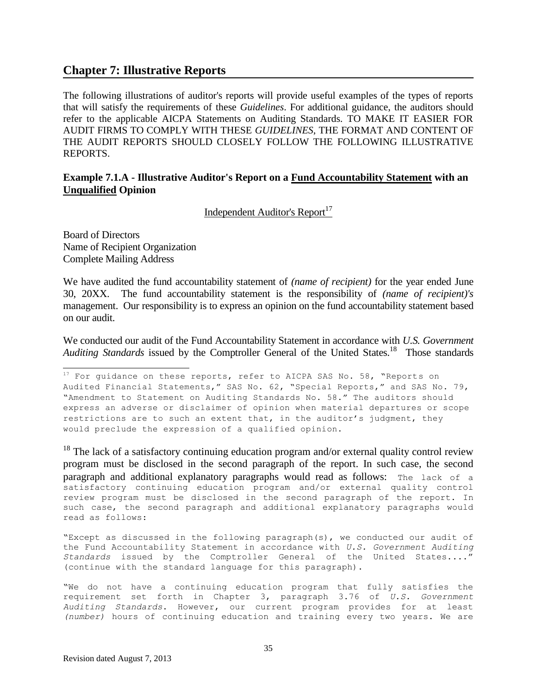#### **Chapter 7: Illustrative Reports**

The following illustrations of auditor's reports will provide useful examples of the types of reports that will satisfy the requirements of these *Guidelines*. For additional guidance, the auditors should refer to the applicable AICPA Statements on Auditing Standards. TO MAKE IT EASIER FOR AUDIT FIRMS TO COMPLY WITH THESE *GUIDELINES*, THE FORMAT AND CONTENT OF THE AUDIT REPORTS SHOULD CLOSELY FOLLOW THE FOLLOWING ILLUSTRATIVE REPORTS.

#### **Example 7.1.A - Illustrative Auditor's Report on a Fund Accountability Statement with an Unqualified Opinion**

Independent Auditor's Report<sup>17</sup>

Board of Directors Name of Recipient Organization Complete Mailing Address

l

We have audited the fund accountability statement of *(name of recipient)* for the year ended June 30, 20XX. The fund accountability statement is the responsibility of *(name of recipient)'s* management. Our responsibility is to express an opinion on the fund accountability statement based on our audit.

We conducted our audit of the Fund Accountability Statement in accordance with *U.S. Government*  Auditing Standards issued by the Comptroller General of the United States.<sup>18</sup> Those standards

 $18$  The lack of a satisfactory continuing education program and/or external quality control review program must be disclosed in the second paragraph of the report. In such case, the second paragraph and additional explanatory paragraphs would read as follows: The lack of a satisfactory continuing education program and/or external quality control review program must be disclosed in the second paragraph of the report. In such case, the second paragraph and additional explanatory paragraphs would read as follows:

"Except as discussed in the following paragraph(s), we conducted our audit of the Fund Accountability Statement in accordance with *U.S. Government Auditing Standards* issued by the Comptroller General of the United States...." (continue with the standard language for this paragraph).

"We do not have a continuing education program that fully satisfies the requirement set forth in Chapter 3, paragraph 3.76 of *U.S. Government Auditing Standards*. However, our current program provides for at least *(number)* hours of continuing education and training every two years. We are

 $^{17}$  For guidance on these reports, refer to AICPA SAS No. 58, "Reports on Audited Financial Statements," SAS No. 62, "Special Reports," and SAS No. 79, "Amendment to Statement on Auditing Standards No. 58." The auditors should express an adverse or disclaimer of opinion when material departures or scope restrictions are to such an extent that, in the auditor's judgment, they would preclude the expression of a qualified opinion.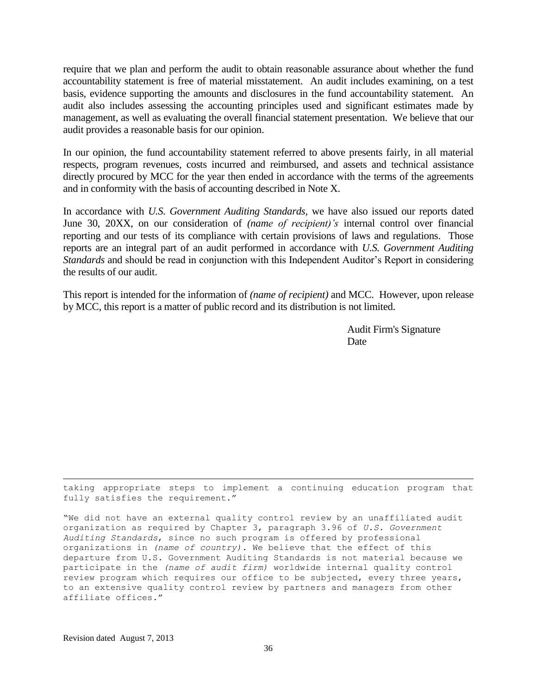require that we plan and perform the audit to obtain reasonable assurance about whether the fund accountability statement is free of material misstatement. An audit includes examining, on a test basis, evidence supporting the amounts and disclosures in the fund accountability statement. An audit also includes assessing the accounting principles used and significant estimates made by management, as well as evaluating the overall financial statement presentation. We believe that our audit provides a reasonable basis for our opinion.

In our opinion, the fund accountability statement referred to above presents fairly, in all material respects, program revenues, costs incurred and reimbursed, and assets and technical assistance directly procured by MCC for the year then ended in accordance with the terms of the agreements and in conformity with the basis of accounting described in Note X.

In accordance with *U.S. Government Auditing Standards,* we have also issued our reports dated June 30, 20XX, on our consideration of *(name of recipient)'s* internal control over financial reporting and our tests of its compliance with certain provisions of laws and regulations. Those reports are an integral part of an audit performed in accordance with *U.S. Government Auditing Standards* and should be read in conjunction with this Independent Auditor's Report in considering the results of our audit.

This report is intended for the information of *(name of recipient)* and MCC. However, upon release by MCC, this report is a matter of public record and its distribution is not limited.

> Audit Firm's Signature **Date**

taking appropriate steps to implement a continuing education program that fully satisfies the requirement."

"We did not have an external quality control review by an unaffiliated audit organization as required by Chapter 3, paragraph 3.96 of *U.S. Government Auditing Standards*, since no such program is offered by professional organizations in *(name of country)*. We believe that the effect of this departure from U.S. Government Auditing Standards is not material because we participate in the *(name of audit firm)* worldwide internal quality control review program which requires our office to be subjected, every three years, to an extensive quality control review by partners and managers from other affiliate offices."

l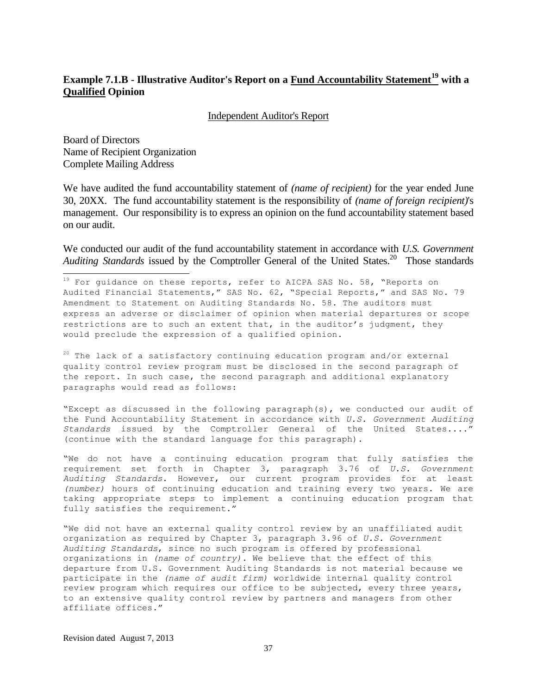#### **Example 7.1.B - Illustrative Auditor's Report on a Fund Accountability Statement<sup>19</sup> with a Qualified Opinion**

Independent Auditor's Report

Board of Directors Name of Recipient Organization Complete Mailing Address

 $\overline{a}$ 

We have audited the fund accountability statement of *(name of recipient)* for the year ended June 30, 20XX. The fund accountability statement is the responsibility of *(name of foreign recipient)*'s management. Our responsibility is to express an opinion on the fund accountability statement based on our audit.

We conducted our audit of the fund accountability statement in accordance with *U.S. Government*  Auditing Standards issued by the Comptroller General of the United States.<sup>20</sup> Those standards

 $^{19}$  For guidance on these reports, refer to AICPA SAS No. 58, "Reports on Audited Financial Statements," SAS No. 62, "Special Reports," and SAS No. 79 Amendment to Statement on Auditing Standards No. 58. The auditors must express an adverse or disclaimer of opinion when material departures or scope restrictions are to such an extent that, in the auditor's judgment, they would preclude the expression of a qualified opinion.

 $20$  The lack of a satisfactory continuing education program and/or external quality control review program must be disclosed in the second paragraph of the report. In such case, the second paragraph and additional explanatory paragraphs would read as follows:

"Except as discussed in the following paragraph(s), we conducted our audit of the Fund Accountability Statement in accordance with *U.S. Government Auditing Standards* issued by the Comptroller General of the United States...." (continue with the standard language for this paragraph).

"We do not have a continuing education program that fully satisfies the requirement set forth in Chapter 3, paragraph 3.76 of *U.S. Government Auditing Standards*. However, our current program provides for at least *(number)* hours of continuing education and training every two years. We are taking appropriate steps to implement a continuing education program that fully satisfies the requirement."

"We did not have an external quality control review by an unaffiliated audit organization as required by Chapter 3, paragraph 3.96 of *U.S. Government Auditing Standards*, since no such program is offered by professional organizations in *(name of country)*. We believe that the effect of this departure from U.S. Government Auditing Standards is not material because we participate in the *(name of audit firm)* worldwide internal quality control review program which requires our office to be subjected, every three years, to an extensive quality control review by partners and managers from other affiliate offices."

Revision dated August 7, 2013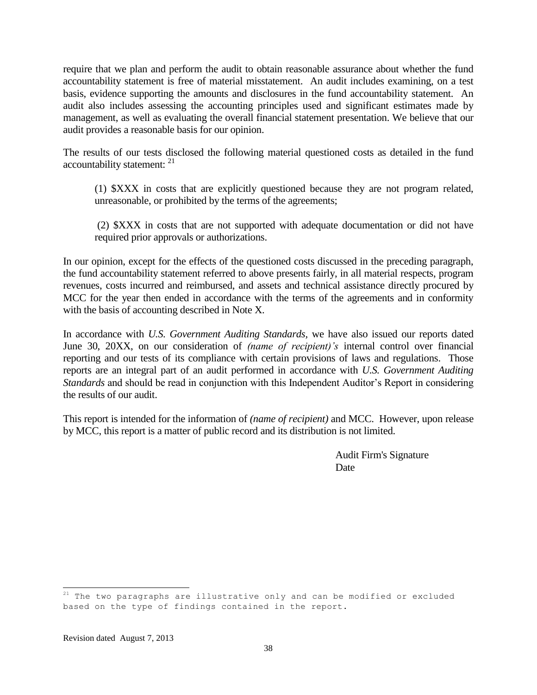require that we plan and perform the audit to obtain reasonable assurance about whether the fund accountability statement is free of material misstatement. An audit includes examining, on a test basis, evidence supporting the amounts and disclosures in the fund accountability statement. An audit also includes assessing the accounting principles used and significant estimates made by management, as well as evaluating the overall financial statement presentation. We believe that our audit provides a reasonable basis for our opinion.

The results of our tests disclosed the following material questioned costs as detailed in the fund accountability statement: <sup>21</sup>

(1) \$XXX in costs that are explicitly questioned because they are not program related, unreasonable, or prohibited by the terms of the agreements;

(2) \$XXX in costs that are not supported with adequate documentation or did not have required prior approvals or authorizations.

In our opinion, except for the effects of the questioned costs discussed in the preceding paragraph, the fund accountability statement referred to above presents fairly, in all material respects, program revenues, costs incurred and reimbursed, and assets and technical assistance directly procured by MCC for the year then ended in accordance with the terms of the agreements and in conformity with the basis of accounting described in Note X.

In accordance with *U.S. Government Auditing Standards,* we have also issued our reports dated June 30, 20XX, on our consideration of *(name of recipient)'s* internal control over financial reporting and our tests of its compliance with certain provisions of laws and regulations. Those reports are an integral part of an audit performed in accordance with *U.S. Government Auditing Standards* and should be read in conjunction with this Independent Auditor's Report in considering the results of our audit.

This report is intended for the information of *(name of recipient)* and MCC. However, upon release by MCC, this report is a matter of public record and its distribution is not limited.

> Audit Firm's Signature Date

 $^{21}$  The two paragraphs are illustrative only and can be modified or excluded based on the type of findings contained in the report.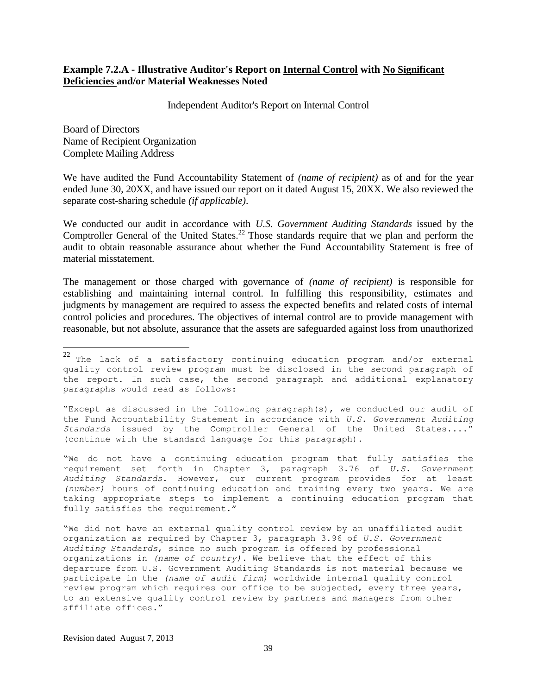#### **Example 7.2.A - Illustrative Auditor's Report on Internal Control with No Significant Deficiencies and/or Material Weaknesses Noted**

#### Independent Auditor's Report on Internal Control

Board of Directors Name of Recipient Organization Complete Mailing Address

 $\overline{a}$ 

We have audited the Fund Accountability Statement of *(name of recipient)* as of and for the year ended June 30, 20XX, and have issued our report on it dated August 15, 20XX. We also reviewed the separate cost-sharing schedule *(if applicable)*.

We conducted our audit in accordance with *U.S. Government Auditing Standards* issued by the Comptroller General of the United States.<sup>22</sup> Those standards require that we plan and perform the audit to obtain reasonable assurance about whether the Fund Accountability Statement is free of material misstatement.

The management or those charged with governance of *(name of recipient)* is responsible for establishing and maintaining internal control. In fulfilling this responsibility, estimates and judgments by management are required to assess the expected benefits and related costs of internal control policies and procedures. The objectives of internal control are to provide management with reasonable, but not absolute, assurance that the assets are safeguarded against loss from unauthorized

"Except as discussed in the following paragraph(s), we conducted our audit of the Fund Accountability Statement in accordance with *U.S. Government Auditing Standards* issued by the Comptroller General of the United States...." (continue with the standard language for this paragraph).

"We do not have a continuing education program that fully satisfies the requirement set forth in Chapter 3, paragraph 3.76 of *U.S. Government Auditing Standards*. However, our current program provides for at least *(number)* hours of continuing education and training every two years. We are taking appropriate steps to implement a continuing education program that fully satisfies the requirement."

"We did not have an external quality control review by an unaffiliated audit organization as required by Chapter 3, paragraph 3.96 of *U.S. Government Auditing Standards*, since no such program is offered by professional organizations in *(name of country)*. We believe that the effect of this departure from U.S. Government Auditing Standards is not material because we participate in the *(name of audit firm)* worldwide internal quality control review program which requires our office to be subjected, every three years, to an extensive quality control review by partners and managers from other affiliate offices."

Revision dated August 7, 2013

 $22$  The lack of a satisfactory continuing education program and/or external quality control review program must be disclosed in the second paragraph of the report. In such case, the second paragraph and additional explanatory paragraphs would read as follows: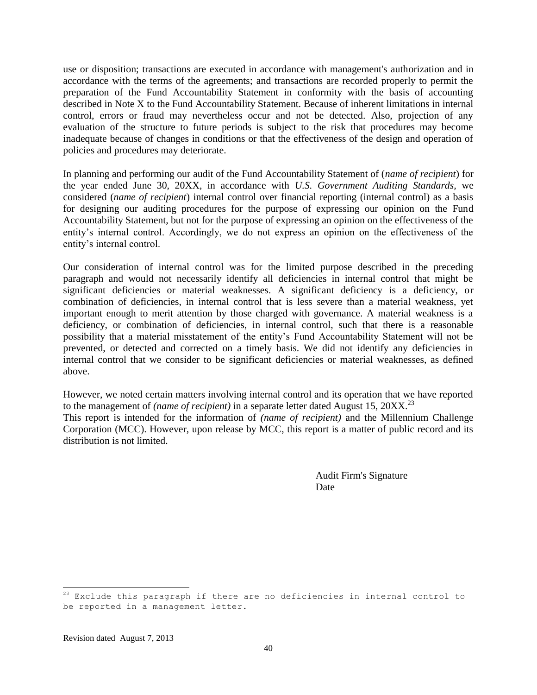use or disposition; transactions are executed in accordance with management's authorization and in accordance with the terms of the agreements; and transactions are recorded properly to permit the preparation of the Fund Accountability Statement in conformity with the basis of accounting described in Note X to the Fund Accountability Statement. Because of inherent limitations in internal control, errors or fraud may nevertheless occur and not be detected. Also, projection of any evaluation of the structure to future periods is subject to the risk that procedures may become inadequate because of changes in conditions or that the effectiveness of the design and operation of policies and procedures may deteriorate.

In planning and performing our audit of the Fund Accountability Statement of (*name of recipient*) for the year ended June 30, 20XX, in accordance with *U.S. Government Auditing Standards,* we considered (*name of recipient*) internal control over financial reporting (internal control) as a basis for designing our auditing procedures for the purpose of expressing our opinion on the Fund Accountability Statement, but not for the purpose of expressing an opinion on the effectiveness of the entity's internal control. Accordingly, we do not express an opinion on the effectiveness of the entity's internal control.

Our consideration of internal control was for the limited purpose described in the preceding paragraph and would not necessarily identify all deficiencies in internal control that might be significant deficiencies or material weaknesses. A significant deficiency is a deficiency, or combination of deficiencies, in internal control that is less severe than a material weakness, yet important enough to merit attention by those charged with governance. A material weakness is a deficiency, or combination of deficiencies, in internal control, such that there is a reasonable possibility that a material misstatement of the entity's Fund Accountability Statement will not be prevented, or detected and corrected on a timely basis. We did not identify any deficiencies in internal control that we consider to be significant deficiencies or material weaknesses, as defined above.

However, we noted certain matters involving internal control and its operation that we have reported to the management of *(name of recipient)* in a separate letter dated August 15, 20XX.<sup>23</sup> This report is intended for the information of *(name of recipient)* and the Millennium Challenge Corporation (MCC). However, upon release by MCC, this report is a matter of public record and its distribution is not limited.

> Audit Firm's Signature Date

 $^{23}$  Exclude this paragraph if there are no deficiencies in internal control to be reported in a management letter.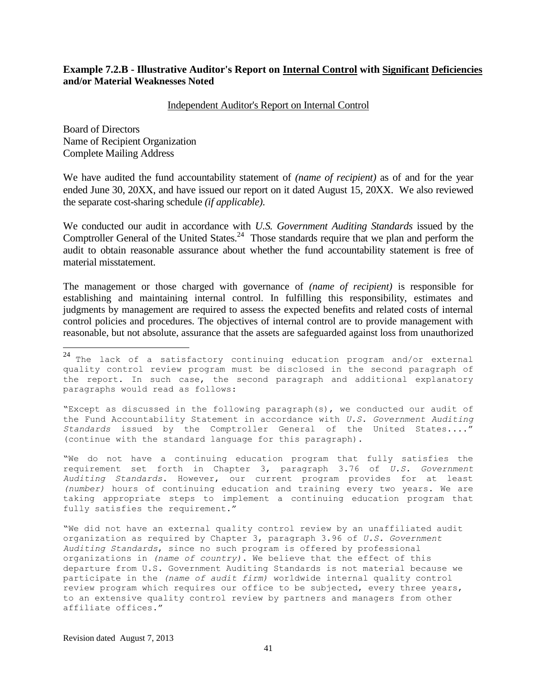#### **Example 7.2.B - Illustrative Auditor's Report on Internal Control with Significant Deficiencies and/or Material Weaknesses Noted**

Independent Auditor's Report on Internal Control

Board of Directors Name of Recipient Organization Complete Mailing Address

 $\overline{a}$ 

We have audited the fund accountability statement of *(name of recipient)* as of and for the year ended June 30, 20XX, and have issued our report on it dated August 15, 20XX. We also reviewed the separate cost-sharing schedule *(if applicable)*.

We conducted our audit in accordance with *U.S. Government Auditing Standards* issued by the Comptroller General of the United States.<sup>24</sup> Those standards require that we plan and perform the audit to obtain reasonable assurance about whether the fund accountability statement is free of material misstatement.

The management or those charged with governance of *(name of recipient)* is responsible for establishing and maintaining internal control. In fulfilling this responsibility, estimates and judgments by management are required to assess the expected benefits and related costs of internal control policies and procedures. The objectives of internal control are to provide management with reasonable, but not absolute, assurance that the assets are safeguarded against loss from unauthorized

"Except as discussed in the following paragraph(s), we conducted our audit of the Fund Accountability Statement in accordance with *U.S. Government Auditing Standards* issued by the Comptroller General of the United States...." (continue with the standard language for this paragraph).

"We do not have a continuing education program that fully satisfies the requirement set forth in Chapter 3, paragraph 3.76 of *U.S. Government Auditing Standards*. However, our current program provides for at least *(number)* hours of continuing education and training every two years. We are taking appropriate steps to implement a continuing education program that fully satisfies the requirement."

"We did not have an external quality control review by an unaffiliated audit organization as required by Chapter 3, paragraph 3.96 of *U.S. Government Auditing Standards*, since no such program is offered by professional organizations in *(name of country)*. We believe that the effect of this departure from U.S. Government Auditing Standards is not material because we participate in the *(name of audit firm)* worldwide internal quality control review program which requires our office to be subjected, every three years, to an extensive quality control review by partners and managers from other affiliate offices."

Revision dated August 7, 2013

 $^{24}$  The lack of a satisfactory continuing education program and/or external quality control review program must be disclosed in the second paragraph of the report. In such case, the second paragraph and additional explanatory paragraphs would read as follows: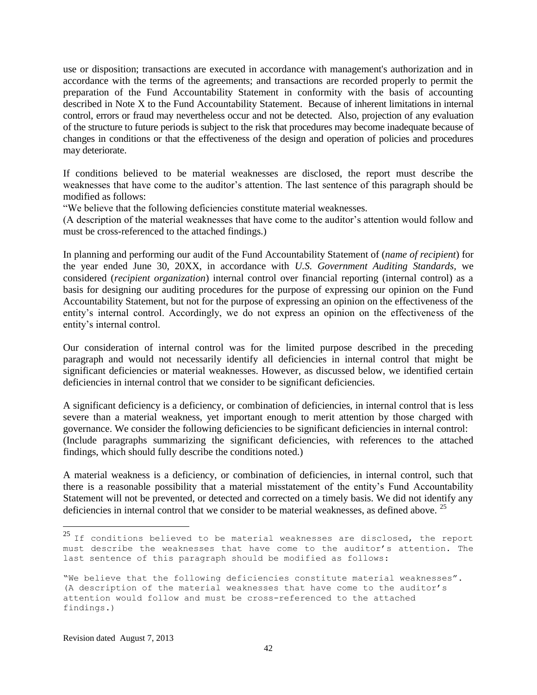use or disposition; transactions are executed in accordance with management's authorization and in accordance with the terms of the agreements; and transactions are recorded properly to permit the preparation of the Fund Accountability Statement in conformity with the basis of accounting described in Note X to the Fund Accountability Statement. Because of inherent limitations in internal control, errors or fraud may nevertheless occur and not be detected. Also, projection of any evaluation of the structure to future periods is subject to the risk that procedures may become inadequate because of changes in conditions or that the effectiveness of the design and operation of policies and procedures may deteriorate.

If conditions believed to be material weaknesses are disclosed, the report must describe the weaknesses that have come to the auditor's attention. The last sentence of this paragraph should be modified as follows:

"We believe that the following deficiencies constitute material weaknesses.

(A description of the material weaknesses that have come to the auditor's attention would follow and must be cross-referenced to the attached findings.)

In planning and performing our audit of the Fund Accountability Statement of (*name of recipient*) for the year ended June 30, 20XX, in accordance with *U.S. Government Auditing Standards,* we considered (*recipient organization*) internal control over financial reporting (internal control) as a basis for designing our auditing procedures for the purpose of expressing our opinion on the Fund Accountability Statement, but not for the purpose of expressing an opinion on the effectiveness of the entity's internal control. Accordingly, we do not express an opinion on the effectiveness of the entity's internal control.

Our consideration of internal control was for the limited purpose described in the preceding paragraph and would not necessarily identify all deficiencies in internal control that might be significant deficiencies or material weaknesses. However, as discussed below, we identified certain deficiencies in internal control that we consider to be significant deficiencies.

A significant deficiency is a deficiency, or combination of deficiencies, in internal control that is less severe than a material weakness, yet important enough to merit attention by those charged with governance. We consider the following deficiencies to be significant deficiencies in internal control: (Include paragraphs summarizing the significant deficiencies, with references to the attached findings, which should fully describe the conditions noted.)

A material weakness is a deficiency, or combination of deficiencies, in internal control, such that there is a reasonable possibility that a material misstatement of the entity's Fund Accountability Statement will not be prevented, or detected and corrected on a timely basis. We did not identify any deficiencies in internal control that we consider to be material weaknesses, as defined above. <sup>25</sup>

 $^{25}$  If conditions believed to be material weaknesses are disclosed, the report must describe the weaknesses that have come to the auditor's attention. The last sentence of this paragraph should be modified as follows:

<sup>&</sup>quot;We believe that the following deficiencies constitute material weaknesses". (A description of the material weaknesses that have come to the auditor's attention would follow and must be cross-referenced to the attached findings.)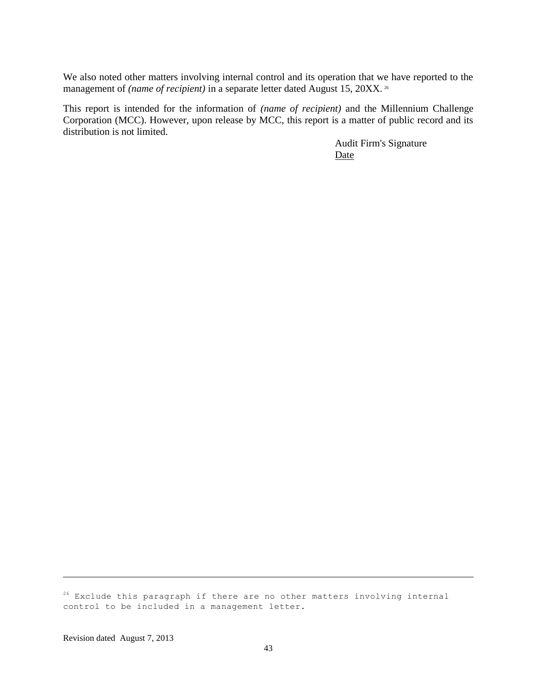We also noted other matters involving internal control and its operation that we have reported to the management of *(name of recipient)* in a separate letter dated August 15, 20XX.<sup>26</sup>

This report is intended for the information of *(name of recipient)* and the Millennium Challenge Corporation (MCC). However, upon release by MCC, this report is a matter of public record and its distribution is not limited.

> Audit Firm's Signature Date

 $26$  Exclude this paragraph if there are no other matters involving internal control to be included in a management letter.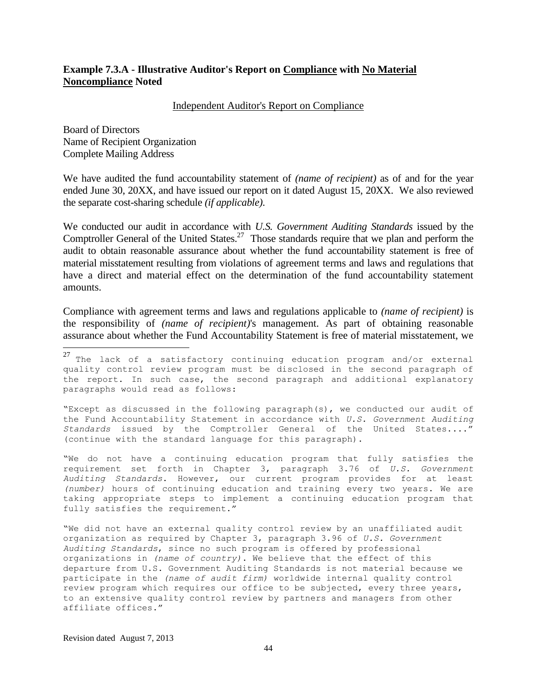#### **Example 7.3.A - Illustrative Auditor's Report on Compliance with No Material Noncompliance Noted**

#### Independent Auditor's Report on Compliance

Board of Directors Name of Recipient Organization Complete Mailing Address

 $\overline{a}$ 

We have audited the fund accountability statement of *(name of recipient)* as of and for the year ended June 30, 20XX, and have issued our report on it dated August 15, 20XX. We also reviewed the separate cost-sharing schedule *(if applicable)*.

We conducted our audit in accordance with *U.S. Government Auditing Standards* issued by the Comptroller General of the United States.<sup>27</sup> Those standards require that we plan and perform the audit to obtain reasonable assurance about whether the fund accountability statement is free of material misstatement resulting from violations of agreement terms and laws and regulations that have a direct and material effect on the determination of the fund accountability statement amounts.

Compliance with agreement terms and laws and regulations applicable to *(name of recipient)* is the responsibility of *(name of recipient)*'s management. As part of obtaining reasonable assurance about whether the Fund Accountability Statement is free of material misstatement, we

"Except as discussed in the following paragraph(s), we conducted our audit of the Fund Accountability Statement in accordance with *U.S. Government Auditing Standards* issued by the Comptroller General of the United States...." (continue with the standard language for this paragraph).

"We do not have a continuing education program that fully satisfies the requirement set forth in Chapter 3, paragraph 3.76 of *U.S. Government Auditing Standards*. However, our current program provides for at least *(number)* hours of continuing education and training every two years. We are taking appropriate steps to implement a continuing education program that fully satisfies the requirement."

"We did not have an external quality control review by an unaffiliated audit organization as required by Chapter 3, paragraph 3.96 of *U.S. Government Auditing Standards*, since no such program is offered by professional organizations in *(name of country)*. We believe that the effect of this departure from U.S. Government Auditing Standards is not material because we participate in the *(name of audit firm)* worldwide internal quality control review program which requires our office to be subjected, every three years, to an extensive quality control review by partners and managers from other affiliate offices."

 $^{27}$  The lack of a satisfactory continuing education program and/or external quality control review program must be disclosed in the second paragraph of the report. In such case, the second paragraph and additional explanatory paragraphs would read as follows: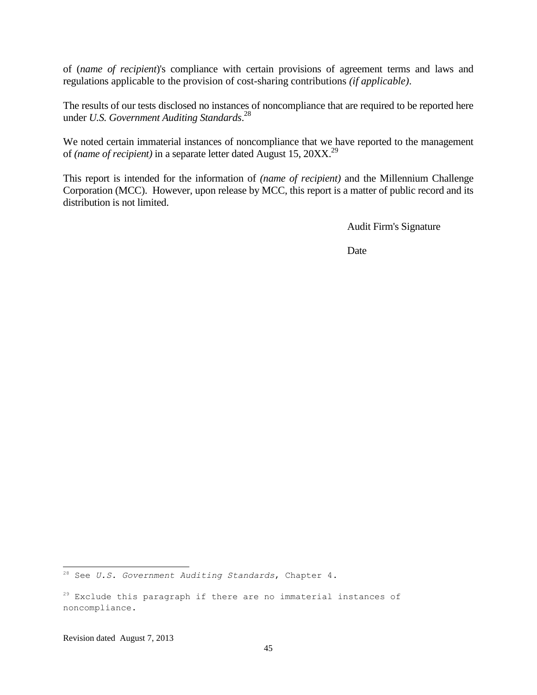of (*name of recipient*)'s compliance with certain provisions of agreement terms and laws and regulations applicable to the provision of cost-sharing contributions *(if applicable)*.

The results of our tests disclosed no instances of noncompliance that are required to be reported here under *U.S. Government Auditing Standards*. 28

We noted certain immaterial instances of noncompliance that we have reported to the management of *(name of recipient)* in a separate letter dated August 15, 20XX.<sup>29</sup>

This report is intended for the information of *(name of recipient)* and the Millennium Challenge Corporation (MCC). However, upon release by MCC, this report is a matter of public record and its distribution is not limited.

Audit Firm's Signature

**Date** 

<sup>28</sup> See *U.S. Government Auditing Standards*, Chapter 4.

<sup>&</sup>lt;sup>29</sup> Exclude this paragraph if there are no immaterial instances of noncompliance.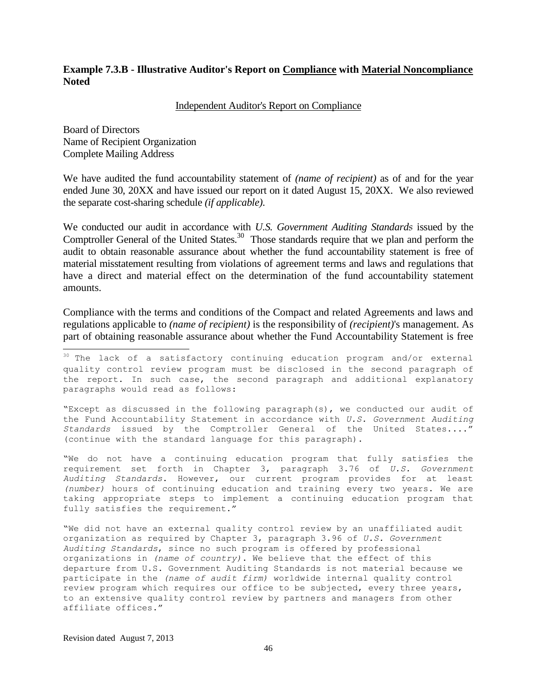#### **Example 7.3.B - Illustrative Auditor's Report on Compliance with Material Noncompliance Noted**

#### Independent Auditor's Report on Compliance

Board of Directors Name of Recipient Organization Complete Mailing Address

 $\overline{a}$ 

We have audited the fund accountability statement of *(name of recipient)* as of and for the year ended June 30, 20XX and have issued our report on it dated August 15, 20XX. We also reviewed the separate cost-sharing schedule *(if applicable)*.

We conducted our audit in accordance with *U.S. Government Auditing Standards* issued by the Comptroller General of the United States.<sup>30</sup> Those standards require that we plan and perform the audit to obtain reasonable assurance about whether the fund accountability statement is free of material misstatement resulting from violations of agreement terms and laws and regulations that have a direct and material effect on the determination of the fund accountability statement amounts.

Compliance with the terms and conditions of the Compact and related Agreements and laws and regulations applicable to *(name of recipient)* is the responsibility of *(recipient)*'s management. As part of obtaining reasonable assurance about whether the Fund Accountability Statement is free

"Except as discussed in the following paragraph(s), we conducted our audit of the Fund Accountability Statement in accordance with *U.S. Government Auditing Standards* issued by the Comptroller General of the United States...." (continue with the standard language for this paragraph).

"We do not have a continuing education program that fully satisfies the requirement set forth in Chapter 3, paragraph 3.76 of *U.S. Government Auditing Standards*. However, our current program provides for at least *(number)* hours of continuing education and training every two years. We are taking appropriate steps to implement a continuing education program that fully satisfies the requirement."

"We did not have an external quality control review by an unaffiliated audit organization as required by Chapter 3, paragraph 3.96 of *U.S. Government Auditing Standards*, since no such program is offered by professional organizations in *(name of country)*. We believe that the effect of this departure from U.S. Government Auditing Standards is not material because we participate in the *(name of audit firm)* worldwide internal quality control review program which requires our office to be subjected, every three years, to an extensive quality control review by partners and managers from other affiliate offices."

<sup>&</sup>lt;sup>30</sup> The lack of a satisfactory continuing education program and/or external quality control review program must be disclosed in the second paragraph of the report. In such case, the second paragraph and additional explanatory paragraphs would read as follows: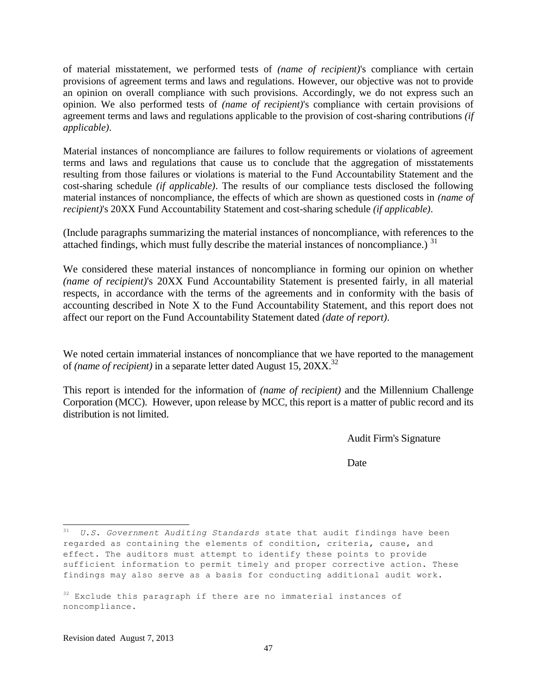of material misstatement, we performed tests of *(name of recipient)*'s compliance with certain provisions of agreement terms and laws and regulations. However, our objective was not to provide an opinion on overall compliance with such provisions. Accordingly, we do not express such an opinion. We also performed tests of *(name of recipient)*'s compliance with certain provisions of agreement terms and laws and regulations applicable to the provision of cost-sharing contributions *(if applicable)*.

Material instances of noncompliance are failures to follow requirements or violations of agreement terms and laws and regulations that cause us to conclude that the aggregation of misstatements resulting from those failures or violations is material to the Fund Accountability Statement and the cost-sharing schedule *(if applicable)*. The results of our compliance tests disclosed the following material instances of noncompliance, the effects of which are shown as questioned costs in *(name of recipient)*'s 20XX Fund Accountability Statement and cost-sharing schedule *(if applicable)*.

(Include paragraphs summarizing the material instances of noncompliance, with references to the attached findings, which must fully describe the material instances of noncompliance.)  $31$ 

We considered these material instances of noncompliance in forming our opinion on whether *(name of recipient)*'s 20XX Fund Accountability Statement is presented fairly, in all material respects, in accordance with the terms of the agreements and in conformity with the basis of accounting described in Note X to the Fund Accountability Statement, and this report does not affect our report on the Fund Accountability Statement dated *(date of report)*.

We noted certain immaterial instances of noncompliance that we have reported to the management of *(name of recipient)* in a separate letter dated August 15, 20XX.<sup>32</sup>

This report is intended for the information of *(name of recipient)* and the Millennium Challenge Corporation (MCC). However, upon release by MCC, this report is a matter of public record and its distribution is not limited.

Audit Firm's Signature

Date

<sup>31</sup> *U.S*. *Government Auditing Standards* state that audit findings have been regarded as containing the elements of condition, criteria, cause, and effect. The auditors must attempt to identify these points to provide sufficient information to permit timely and proper corrective action. These findings may also serve as a basis for conducting additional audit work.

 $32$  Exclude this paragraph if there are no immaterial instances of noncompliance.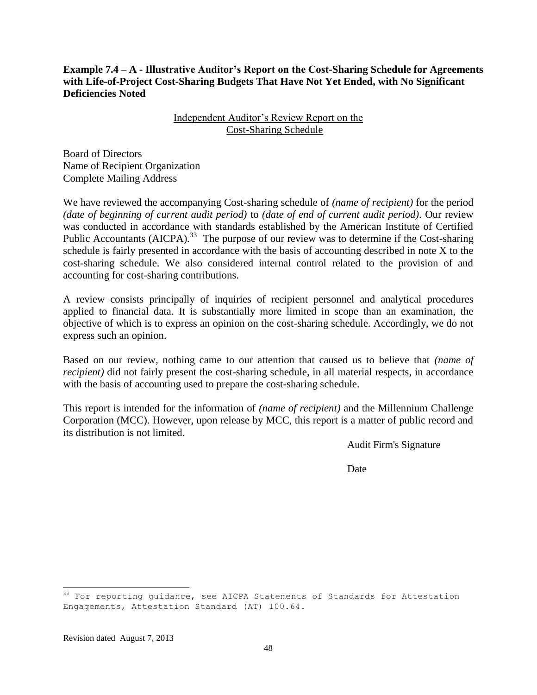**Example 7.4 – A - Illustrative Auditor's Report on the Cost-Sharing Schedule for Agreements with Life-of-Project Cost-Sharing Budgets That Have Not Yet Ended, with No Significant Deficiencies Noted**

> Independent Auditor's Review Report on the Cost-Sharing Schedule

Board of Directors Name of Recipient Organization Complete Mailing Address

We have reviewed the accompanying Cost-sharing schedule of *(name of recipient)* for the period *(date of beginning of current audit period)* to *(date of end of current audit period)*. Our review was conducted in accordance with standards established by the American Institute of Certified Public Accountants (AICPA).<sup>33</sup> The purpose of our review was to determine if the Cost-sharing schedule is fairly presented in accordance with the basis of accounting described in note X to the cost-sharing schedule. We also considered internal control related to the provision of and accounting for cost-sharing contributions.

A review consists principally of inquiries of recipient personnel and analytical procedures applied to financial data. It is substantially more limited in scope than an examination, the objective of which is to express an opinion on the cost-sharing schedule. Accordingly, we do not express such an opinion.

Based on our review, nothing came to our attention that caused us to believe that *(name of recipient*) did not fairly present the cost-sharing schedule, in all material respects, in accordance with the basis of accounting used to prepare the cost-sharing schedule.

This report is intended for the information of *(name of recipient)* and the Millennium Challenge Corporation (MCC). However, upon release by MCC, this report is a matter of public record and its distribution is not limited.

Audit Firm's Signature

**Date** 

<sup>&</sup>lt;sup>33</sup> For reporting guidance, see AICPA Statements of Standards for Attestation Engagements, Attestation Standard (AT) 100.64.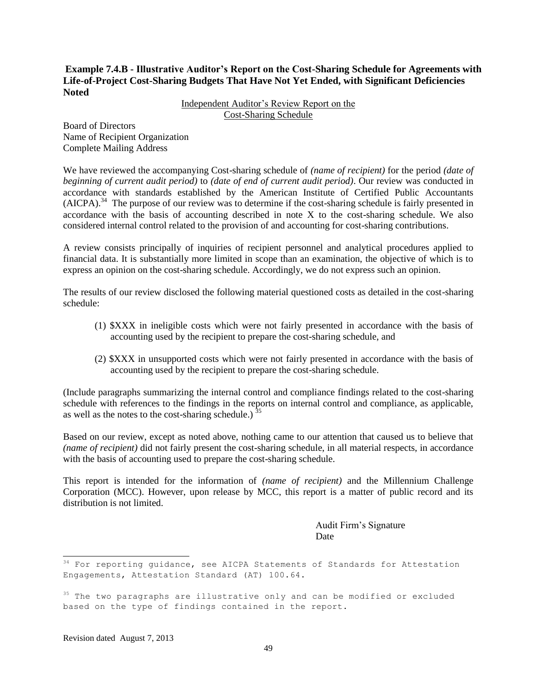#### **Example 7.4.B - Illustrative Auditor's Report on the Cost-Sharing Schedule for Agreements with Life-of-Project Cost-Sharing Budgets That Have Not Yet Ended, with Significant Deficiencies Noted**

Independent Auditor's Review Report on the Cost-Sharing Schedule

Board of Directors Name of Recipient Organization Complete Mailing Address

We have reviewed the accompanying Cost-sharing schedule of *(name of recipient)* for the period *(date of beginning of current audit period)* to *(date of end of current audit period)*. Our review was conducted in accordance with standards established by the American Institute of Certified Public Accountants (AICPA).<sup>34</sup> The purpose of our review was to determine if the cost-sharing schedule is fairly presented in accordance with the basis of accounting described in note X to the cost-sharing schedule. We also considered internal control related to the provision of and accounting for cost-sharing contributions.

A review consists principally of inquiries of recipient personnel and analytical procedures applied to financial data. It is substantially more limited in scope than an examination, the objective of which is to express an opinion on the cost-sharing schedule. Accordingly, we do not express such an opinion.

The results of our review disclosed the following material questioned costs as detailed in the cost-sharing schedule:

- (1) \$XXX in ineligible costs which were not fairly presented in accordance with the basis of accounting used by the recipient to prepare the cost-sharing schedule, and
- (2) \$XXX in unsupported costs which were not fairly presented in accordance with the basis of accounting used by the recipient to prepare the cost-sharing schedule.

(Include paragraphs summarizing the internal control and compliance findings related to the cost-sharing schedule with references to the findings in the reports on internal control and compliance, as applicable, as well as the notes to the cost-sharing schedule.)  $35$ 

Based on our review, except as noted above, nothing came to our attention that caused us to believe that *(name of recipient)* did not fairly present the cost-sharing schedule, in all material respects, in accordance with the basis of accounting used to prepare the cost-sharing schedule.

This report is intended for the information of *(name of recipient)* and the Millennium Challenge Corporation (MCC). However, upon release by MCC, this report is a matter of public record and its distribution is not limited.

> Audit Firm's Signature Date

<sup>&</sup>lt;sup>34</sup> For reporting guidance, see AICPA Statements of Standards for Attestation Engagements, Attestation Standard (AT) 100.64.

<sup>&</sup>lt;sup>35</sup> The two paragraphs are illustrative only and can be modified or excluded based on the type of findings contained in the report.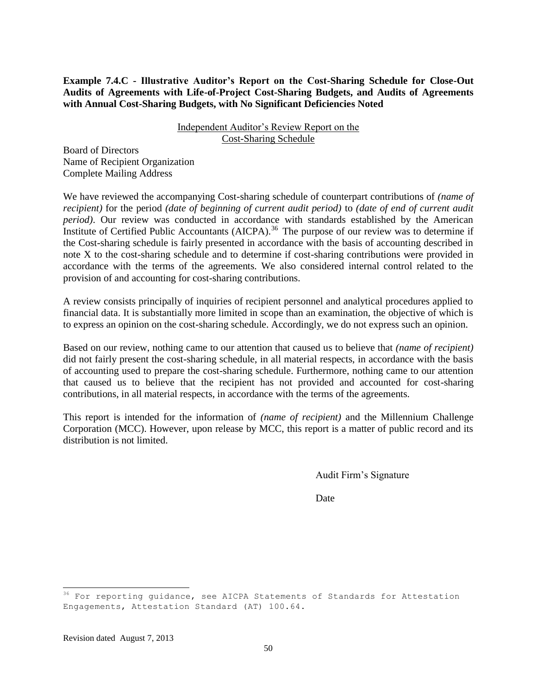**Example 7.4.C - Illustrative Auditor's Report on the Cost-Sharing Schedule for Close-Out Audits of Agreements with Life-of-Project Cost-Sharing Budgets, and Audits of Agreements with Annual Cost-Sharing Budgets, with No Significant Deficiencies Noted** 

#### Independent Auditor's Review Report on the Cost-Sharing Schedule

Board of Directors Name of Recipient Organization Complete Mailing Address

We have reviewed the accompanying Cost-sharing schedule of counterpart contributions of *(name of recipient)* for the period *(date of beginning of current audit period)* to *(date of end of current audit period)*. Our review was conducted in accordance with standards established by the American Institute of Certified Public Accountants (AICPA).<sup>36</sup> The purpose of our review was to determine if the Cost-sharing schedule is fairly presented in accordance with the basis of accounting described in note X to the cost-sharing schedule and to determine if cost-sharing contributions were provided in accordance with the terms of the agreements. We also considered internal control related to the provision of and accounting for cost-sharing contributions.

A review consists principally of inquiries of recipient personnel and analytical procedures applied to financial data. It is substantially more limited in scope than an examination, the objective of which is to express an opinion on the cost-sharing schedule. Accordingly, we do not express such an opinion.

Based on our review, nothing came to our attention that caused us to believe that *(name of recipient)*  did not fairly present the cost-sharing schedule, in all material respects, in accordance with the basis of accounting used to prepare the cost-sharing schedule. Furthermore, nothing came to our attention that caused us to believe that the recipient has not provided and accounted for cost-sharing contributions, in all material respects, in accordance with the terms of the agreements.

This report is intended for the information of *(name of recipient)* and the Millennium Challenge Corporation (MCC). However, upon release by MCC, this report is a matter of public record and its distribution is not limited.

Audit Firm's Signature

Date

<sup>&</sup>lt;sup>36</sup> For reporting guidance, see AICPA Statements of Standards for Attestation Engagements, Attestation Standard (AT) 100.64.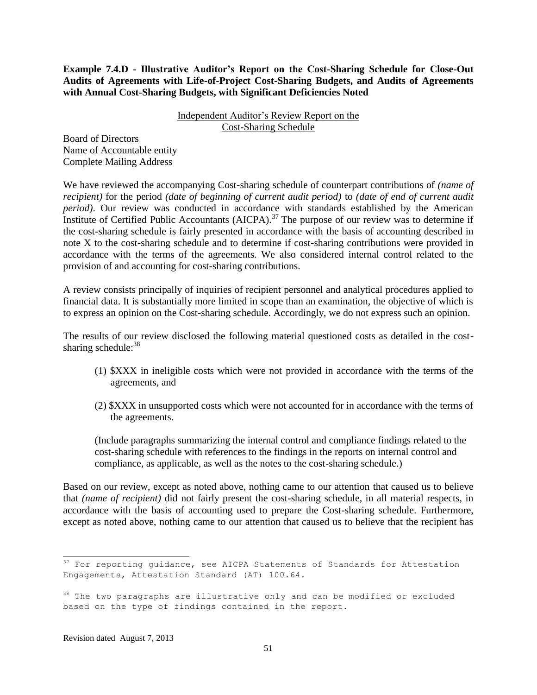**Example 7.4.D - Illustrative Auditor's Report on the Cost-Sharing Schedule for Close-Out Audits of Agreements with Life-of-Project Cost-Sharing Budgets, and Audits of Agreements with Annual Cost-Sharing Budgets, with Significant Deficiencies Noted** 

> Independent Auditor's Review Report on the Cost-Sharing Schedule

Board of Directors Name of Accountable entity Complete Mailing Address

We have reviewed the accompanying Cost-sharing schedule of counterpart contributions of *(name of recipient)* for the period *(date of beginning of current audit period)* to *(date of end of current audit period)*. Our review was conducted in accordance with standards established by the American Institute of Certified Public Accountants (AICPA).<sup>37</sup> The purpose of our review was to determine if the cost-sharing schedule is fairly presented in accordance with the basis of accounting described in note X to the cost-sharing schedule and to determine if cost-sharing contributions were provided in accordance with the terms of the agreements. We also considered internal control related to the provision of and accounting for cost-sharing contributions.

A review consists principally of inquiries of recipient personnel and analytical procedures applied to financial data. It is substantially more limited in scope than an examination, the objective of which is to express an opinion on the Cost-sharing schedule. Accordingly, we do not express such an opinion.

The results of our review disclosed the following material questioned costs as detailed in the costsharing schedule: $38$ 

- (1) \$XXX in ineligible costs which were not provided in accordance with the terms of the agreements, and
- (2) \$XXX in unsupported costs which were not accounted for in accordance with the terms of the agreements.

(Include paragraphs summarizing the internal control and compliance findings related to the cost-sharing schedule with references to the findings in the reports on internal control and compliance, as applicable, as well as the notes to the cost-sharing schedule.)

Based on our review, except as noted above, nothing came to our attention that caused us to believe that *(name of recipient)* did not fairly present the cost-sharing schedule, in all material respects, in accordance with the basis of accounting used to prepare the Cost-sharing schedule. Furthermore, except as noted above, nothing came to our attention that caused us to believe that the recipient has

 $37$  For reporting guidance, see AICPA Statements of Standards for Attestation Engagements, Attestation Standard (AT) 100.64.

<sup>&</sup>lt;sup>38</sup> The two paragraphs are illustrative only and can be modified or excluded based on the type of findings contained in the report.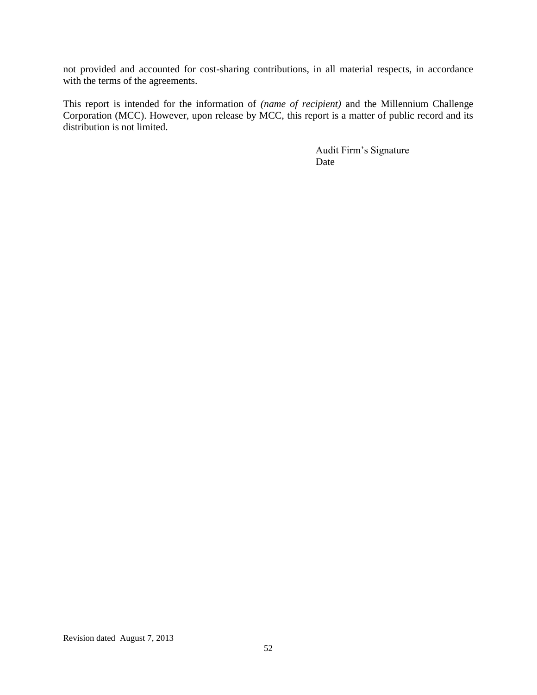not provided and accounted for cost-sharing contributions, in all material respects, in accordance with the terms of the agreements.

This report is intended for the information of *(name of recipient)* and the Millennium Challenge Corporation (MCC). However, upon release by MCC, this report is a matter of public record and its distribution is not limited.

> Audit Firm's Signature Date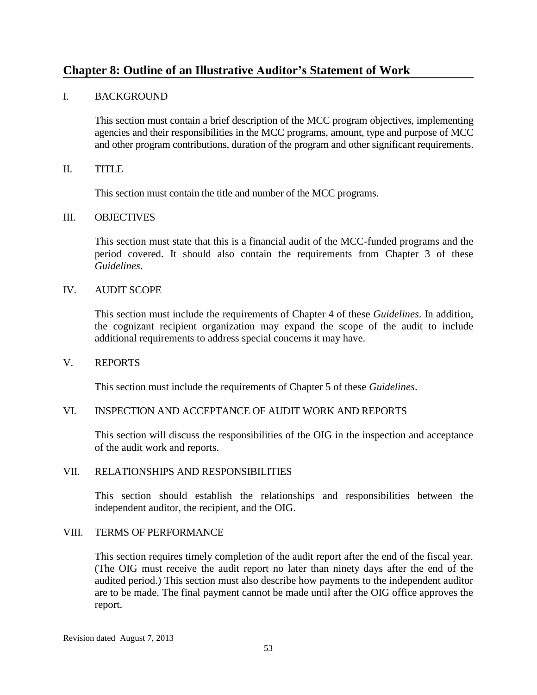# **Chapter 8: Outline of an Illustrative Auditor's Statement of Work**

#### I. BACKGROUND

This section must contain a brief description of the MCC program objectives, implementing agencies and their responsibilities in the MCC programs, amount, type and purpose of MCC and other program contributions, duration of the program and other significant requirements.

#### II. TITLE

This section must contain the title and number of the MCC programs.

#### III. OBJECTIVES

This section must state that this is a financial audit of the MCC-funded programs and the period covered. It should also contain the requirements from Chapter 3 of these *Guidelines*.

#### IV. AUDIT SCOPE

This section must include the requirements of Chapter 4 of these *Guidelines*. In addition, the cognizant recipient organization may expand the scope of the audit to include additional requirements to address special concerns it may have.

#### V. REPORTS

This section must include the requirements of Chapter 5 of these *Guidelines*.

#### VI. INSPECTION AND ACCEPTANCE OF AUDIT WORK AND REPORTS

This section will discuss the responsibilities of the OIG in the inspection and acceptance of the audit work and reports.

#### VII. RELATIONSHIPS AND RESPONSIBILITIES

This section should establish the relationships and responsibilities between the independent auditor, the recipient, and the OIG.

#### VIII. TERMS OF PERFORMANCE

This section requires timely completion of the audit report after the end of the fiscal year. (The OIG must receive the audit report no later than ninety days after the end of the audited period.) This section must also describe how payments to the independent auditor are to be made. The final payment cannot be made until after the OIG office approves the report.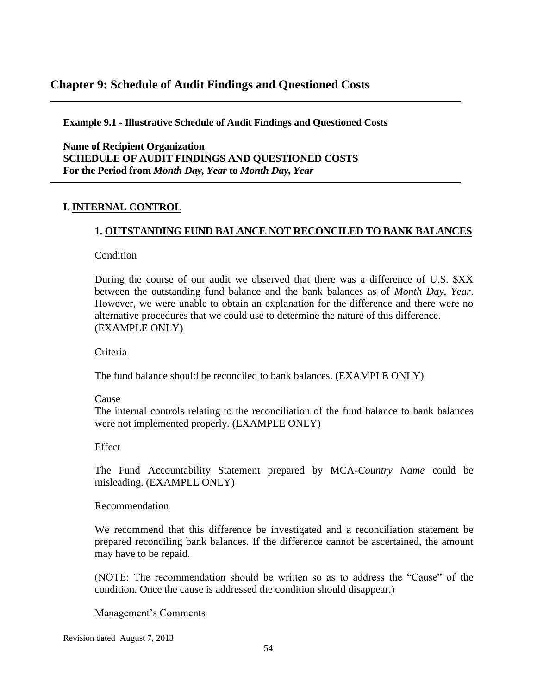# **Chapter 9: Schedule of Audit Findings and Questioned Costs**

**Example 9.1 - Illustrative Schedule of Audit Findings and Questioned Costs**

**Name of Recipient Organization SCHEDULE OF AUDIT FINDINGS AND QUESTIONED COSTS For the Period from** *Month Day, Year* **to** *Month Day, Year* 

#### **I. INTERNAL CONTROL**

### **1. OUTSTANDING FUND BALANCE NOT RECONCILED TO BANK BALANCES**

#### **Condition**

During the course of our audit we observed that there was a difference of U.S. \$XX between the outstanding fund balance and the bank balances as of *Month Day, Year*. However, we were unable to obtain an explanation for the difference and there were no alternative procedures that we could use to determine the nature of this difference. (EXAMPLE ONLY)

#### Criteria

The fund balance should be reconciled to bank balances. (EXAMPLE ONLY)

#### Cause

The internal controls relating to the reconciliation of the fund balance to bank balances were not implemented properly. (EXAMPLE ONLY)

#### Effect

The Fund Accountability Statement prepared by MCA*-Country Name* could be misleading. (EXAMPLE ONLY)

#### Recommendation

We recommend that this difference be investigated and a reconciliation statement be prepared reconciling bank balances. If the difference cannot be ascertained, the amount may have to be repaid.

(NOTE: The recommendation should be written so as to address the "Cause" of the condition. Once the cause is addressed the condition should disappear.)

Management's Comments

Revision dated August 7, 2013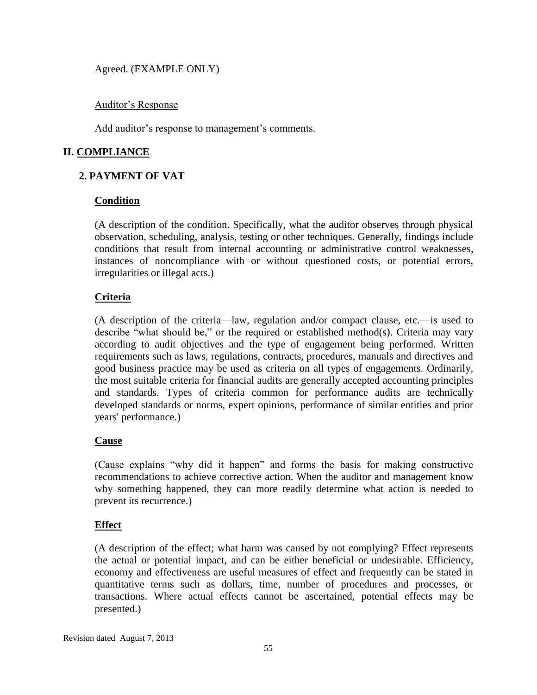Agreed. (EXAMPLE ONLY)

#### Auditor's Response

Add auditor's response to management's comments.

# **II. COMPLIANCE**

# **2. PAYMENT OF VAT**

#### **Condition**

(A description of the condition. Specifically, what the auditor observes through physical observation, scheduling, analysis, testing or other techniques. Generally, findings include conditions that result from internal accounting or administrative control weaknesses, instances of noncompliance with or without questioned costs, or potential errors, irregularities or illegal acts.)

### **Criteria**

(A description of the criteria—law, regulation and/or compact clause, etc.—is used to describe "what should be," or the required or established method(s). Criteria may vary according to audit objectives and the type of engagement being performed. Written requirements such as laws, regulations, contracts, procedures, manuals and directives and good business practice may be used as criteria on all types of engagements. Ordinarily, the most suitable criteria for financial audits are generally accepted accounting principles and standards. Types of criteria common for performance audits are technically developed standards or norms, expert opinions, performance of similar entities and prior years' performance.)

### **Cause**

(Cause explains "why did it happen" and forms the basis for making constructive recommendations to achieve corrective action. When the auditor and management know why something happened, they can more readily determine what action is needed to prevent its recurrence.)

### **Effect**

(A description of the effect; what harm was caused by not complying? Effect represents the actual or potential impact, and can be either beneficial or undesirable. Efficiency, economy and effectiveness are useful measures of effect and frequently can be stated in quantitative terms such as dollars, time, number of procedures and processes, or transactions. Where actual effects cannot be ascertained, potential effects may be presented.)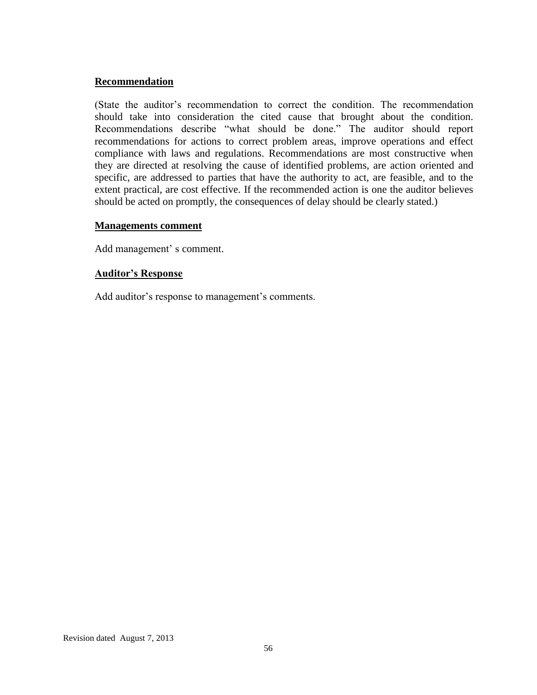#### **Recommendation**

(State the auditor's recommendation to correct the condition. The recommendation should take into consideration the cited cause that brought about the condition. Recommendations describe "what should be done." The auditor should report recommendations for actions to correct problem areas, improve operations and effect compliance with laws and regulations. Recommendations are most constructive when they are directed at resolving the cause of identified problems, are action oriented and specific, are addressed to parties that have the authority to act, are feasible, and to the extent practical, are cost effective. If the recommended action is one the auditor believes should be acted on promptly, the consequences of delay should be clearly stated.)

#### **Managements comment**

Add management' s comment.

#### **Auditor's Response**

Add auditor's response to management's comments.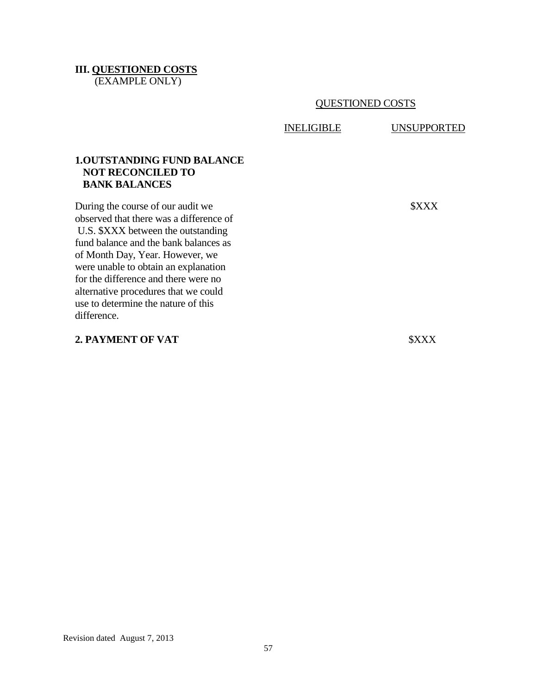#### **III. QUESTIONED COSTS** (EXAMPLE ONLY)

QUESTIONED COSTS

INELIGIBLE UNSUPPORTED

#### **1.OUTSTANDING FUND BALANCE NOT RECONCILED TO BANK BALANCES**

During the course of our audit we \$XXX observed that there was a difference of U.S. \$XXX between the outstanding fund balance and the bank balances as of Month Day, Year. However, we were unable to obtain an explanation for the difference and there were no alternative procedures that we could use to determine the nature of this difference.

#### **2. PAYMENT OF VAT**  \$XXX